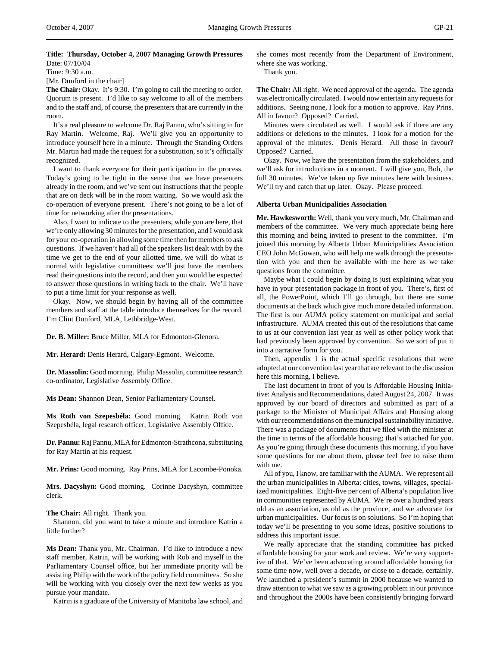# **Title: Thursday, October 4, 2007 Managing Growth Pressures** Date: 07/10/04

Time: 9:30 a.m.

[Mr. Dunford in the chair]

**The Chair:** Okay. It's 9:30. I'm going to call the meeting to order. Quorum is present. I'd like to say welcome to all of the members and to the staff and, of course, the presenters that are currently in the room.

It's a real pleasure to welcome Dr. Raj Pannu, who's sitting in for Ray Martin. Welcome, Raj. We'll give you an opportunity to introduce yourself here in a minute. Through the Standing Orders Mr. Martin had made the request for a substitution, so it's officially recognized.

I want to thank everyone for their participation in the process. Today's going to be tight in the sense that we have presenters already in the room, and we've sent out instructions that the people that are on deck will be in the room waiting. So we would ask the co-operation of everyone present. There's not going to be a lot of time for networking after the presentations.

Also, I want to indicate to the presenters, while you are here, that we're only allowing 30 minutes for the presentation, and I would ask for your co-operation in allowing some time then for members to ask questions. If we haven't had all of the speakers list dealt with by the time we get to the end of your allotted time, we will do what is normal with legislative committees: we'll just have the members read their questions into the record, and then you would be expected to answer those questions in writing back to the chair. We'll have to put a time limit for your response as well.

Okay. Now, we should begin by having all of the committee members and staff at the table introduce themselves for the record. I'm Clint Dunford, MLA, Lethbridge-West.

**Dr. B. Miller:** Bruce Miller, MLA for Edmonton-Glenora.

**Mr. Herard:** Denis Herard, Calgary-Egmont. Welcome.

**Dr. Massolin:** Good morning. Philip Massolin, committee research co-ordinator, Legislative Assembly Office.

**Ms Dean:** Shannon Dean, Senior Parliamentary Counsel.

**Ms Roth von Szepesbéla:** Good morning. Katrin Roth von Szepesbéla, legal research officer, Legislative Assembly Office.

**Dr. Pannu:** Raj Pannu, MLA for Edmonton-Strathcona, substituting for Ray Martin at his request.

**Mr. Prins:** Good morning. Ray Prins, MLA for Lacombe-Ponoka.

**Mrs. Dacyshyn:** Good morning. Corinne Dacyshyn, committee clerk.

**The Chair:** All right. Thank you.

Shannon, did you want to take a minute and introduce Katrin a little further?

**Ms Dean:** Thank you, Mr. Chairman. I'd like to introduce a new staff member, Katrin, will be working with Rob and myself in the Parliamentary Counsel office, but her immediate priority will be assisting Philip with the work of the policy field committees. So she will be working with you closely over the next few weeks as you pursue your mandate.

Katrin is a graduate of the University of Manitoba law school, and

she comes most recently from the Department of Environment, where she was working.

Thank you.

**The Chair:** All right. We need approval of the agenda. The agenda was electronically circulated. I would now entertain any requests for additions. Seeing none, I look for a motion to approve. Ray Prins. All in favour? Opposed? Carried.

Minutes were circulated as well. I would ask if there are any additions or deletions to the minutes. I look for a motion for the approval of the minutes. Denis Herard. All those in favour? Opposed? Carried.

Okay. Now, we have the presentation from the stakeholders, and we'll ask for introductions in a moment. I will give you, Bob, the full 30 minutes. We've taken up five minutes here with business. We'll try and catch that up later. Okay. Please proceed.

# **Alberta Urban Municipalities Association**

**Mr. Hawkesworth:** Well, thank you very much, Mr. Chairman and members of the committee. We very much appreciate being here this morning and being invited to present to the committee. I'm joined this morning by Alberta Urban Municipalities Association CEO John McGowan, who will help me walk through the presentation with you and then be available with me here as we take questions from the committee.

Maybe what I could begin by doing is just explaining what you have in your presentation package in front of you. There's, first of all, the PowerPoint, which I'll go through, but there are some documents at the back which give much more detailed information. The first is our AUMA policy statement on municipal and social infrastructure. AUMA created this out of the resolutions that came to us at our convention last year as well as other policy work that had previously been approved by convention. So we sort of put it into a narrative form for you.

Then, appendix 1 is the actual specific resolutions that were adopted at our convention last year that are relevant to the discussion here this morning, I believe.

The last document in front of you is Affordable Housing Initiative: Analysis and Recommendations, dated August 24, 2007. It was approved by our board of directors and submitted as part of a package to the Minister of Municipal Affairs and Housing along with our recommendations on the municipal sustainability initiative. There was a package of documents that we filed with the minister at the time in terms of the affordable housing; that's attached for you. As you're going through these documents this morning, if you have some questions for me about them, please feel free to raise them with me.

All of you, I know, are familiar with the AUMA. We represent all the urban municipalities in Alberta: cities, towns, villages, specialized municipalities. Eight-five per cent of Alberta's population live in communities represented by AUMA. We're over a hundred years old as an association, as old as the province, and we advocate for urban municipalities. Our focus is on solutions. So I'm hoping that today we'll be presenting to you some ideas, positive solutions to address this important issue.

We really appreciate that the standing committee has picked affordable housing for your work and review. We're very supportive of that. We've been advocating around affordable housing for some time now, well over a decade, or close to a decade, certainly. We launched a president's summit in 2000 because we wanted to draw attention to what we saw as a growing problem in our province and throughout the 2000s have been consistently bringing forward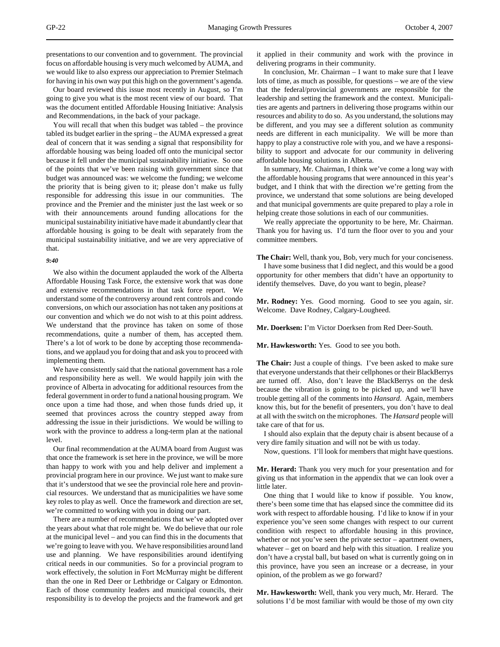presentations to our convention and to government. The provincial focus on affordable housing is very much welcomed by AUMA, and we would like to also express our appreciation to Premier Stelmach for having in his own way put this high on the government's agenda.

Our board reviewed this issue most recently in August, so I'm going to give you what is the most recent view of our board. That was the document entitled Affordable Housing Initiative: Analysis and Recommendations, in the back of your package.

You will recall that when this budget was tabled – the province tabled its budget earlier in the spring – the AUMA expressed a great deal of concern that it was sending a signal that responsibility for affordable housing was being loaded off onto the municipal sector because it fell under the municipal sustainability initiative. So one of the points that we've been raising with government since that budget was announced was: we welcome the funding; we welcome the priority that is being given to it; please don't make us fully responsible for addressing this issue in our communities. The province and the Premier and the minister just the last week or so with their announcements around funding allocations for the municipal sustainability initiative have made it abundantly clear that affordable housing is going to be dealt with separately from the municipal sustainability initiative, and we are very appreciative of that.

## *9:40*

We also within the document applauded the work of the Alberta Affordable Housing Task Force, the extensive work that was done and extensive recommendations in that task force report. We understand some of the controversy around rent controls and condo conversions, on which our association has not taken any positions at our convention and which we do not wish to at this point address. We understand that the province has taken on some of those recommendations, quite a number of them, has accepted them. There's a lot of work to be done by accepting those recommendations, and we applaud you for doing that and ask you to proceed with implementing them.

We have consistently said that the national government has a role and responsibility here as well. We would happily join with the province of Alberta in advocating for additional resources from the federal government in order to fund a national housing program. We once upon a time had those, and when those funds dried up, it seemed that provinces across the country stepped away from addressing the issue in their jurisdictions. We would be willing to work with the province to address a long-term plan at the national level.

Our final recommendation at the AUMA board from August was that once the framework is set here in the province, we will be more than happy to work with you and help deliver and implement a provincial program here in our province. We just want to make sure that it's understood that we see the provincial role here and provincial resources. We understand that as municipalities we have some key roles to play as well. Once the framework and direction are set, we're committed to working with you in doing our part.

There are a number of recommendations that we've adopted over the years about what that role might be. We do believe that our role at the municipal level – and you can find this in the documents that we're going to leave with you. We have responsibilities around land use and planning. We have responsibilities around identifying critical needs in our communities. So for a provincial program to work effectively, the solution in Fort McMurray might be different than the one in Red Deer or Lethbridge or Calgary or Edmonton. Each of those community leaders and municipal councils, their responsibility is to develop the projects and the framework and get it applied in their community and work with the province in delivering programs in their community.

In conclusion, Mr. Chairman – I want to make sure that I leave lots of time, as much as possible, for questions – we are of the view that the federal/provincial governments are responsible for the leadership and setting the framework and the context. Municipalities are agents and partners in delivering those programs within our resources and ability to do so. As you understand, the solutions may be different, and you may see a different solution as community needs are different in each municipality. We will be more than happy to play a constructive role with you, and we have a responsibility to support and advocate for our community in delivering affordable housing solutions in Alberta.

In summary, Mr. Chairman, I think we've come a long way with the affordable housing programs that were announced in this year's budget, and I think that with the direction we're getting from the province, we understand that some solutions are being developed and that municipal governments are quite prepared to play a role in helping create those solutions in each of our communities.

We really appreciate the opportunity to be here, Mr. Chairman. Thank you for having us. I'd turn the floor over to you and your committee members.

**The Chair:** Well, thank you, Bob, very much for your conciseness. I have some business that I did neglect, and this would be a good opportunity for other members that didn't have an opportunity to identify themselves. Dave, do you want to begin, please?

**Mr. Rodney:** Yes. Good morning. Good to see you again, sir. Welcome. Dave Rodney, Calgary-Lougheed.

**Mr. Doerksen:** I'm Victor Doerksen from Red Deer-South.

**Mr. Hawkesworth:** Yes. Good to see you both.

**The Chair:** Just a couple of things. I've been asked to make sure that everyone understands that their cellphones or their BlackBerrys are turned off. Also, don't leave the BlackBerrys on the desk because the vibration is going to be picked up, and we'll have trouble getting all of the comments into *Hansard*. Again, members know this, but for the benefit of presenters, you don't have to deal at all with the switch on the microphones. The *Hansard* people will take care of that for us.

I should also explain that the deputy chair is absent because of a very dire family situation and will not be with us today.

Now, questions. I'll look for members that might have questions.

**Mr. Herard:** Thank you very much for your presentation and for giving us that information in the appendix that we can look over a little later.

One thing that I would like to know if possible. You know, there's been some time that has elapsed since the committee did its work with respect to affordable housing. I'd like to know if in your experience you've seen some changes with respect to our current condition with respect to affordable housing in this province, whether or not you've seen the private sector – apartment owners, whatever – get on board and help with this situation. I realize you don't have a crystal ball, but based on what is currently going on in this province, have you seen an increase or a decrease, in your opinion, of the problem as we go forward?

**Mr. Hawkesworth:** Well, thank you very much, Mr. Herard. The solutions I'd be most familiar with would be those of my own city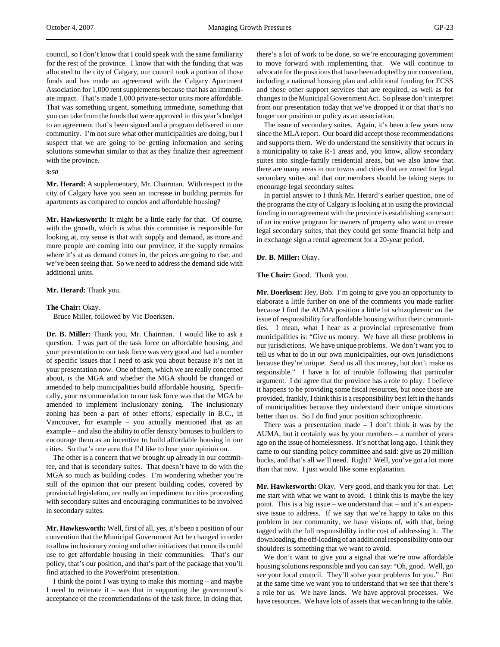council, so I don't know that I could speak with the same familiarity for the rest of the province. I know that with the funding that was allocated to the city of Calgary, our council took a portion of those funds and has made an agreement with the Calgary Apartment Association for 1,000 rent supplements because that has an immediate impact. That's made 1,000 private-sector units more affordable. That was something urgent, something immediate, something that you can take from the funds that were approved in this year's budget to an agreement that's been signed and a program delivered in our community. I'm not sure what other municipalities are doing, but I suspect that we are going to be getting information and seeing solutions somewhat similar to that as they finalize their agreement with the province.

#### *9:50*

**Mr. Herard:** A supplementary, Mr. Chairman. With respect to the city of Calgary have you seen an increase in building permits for apartments as compared to condos and affordable housing?

**Mr. Hawkesworth:** It might be a little early for that. Of course, with the growth, which is what this committee is responsible for looking at, my sense is that with supply and demand, as more and more people are coming into our province, if the supply remains where it's at as demand comes in, the prices are going to rise, and we've been seeing that. So we need to address the demand side with additional units.

# **Mr. Herard:** Thank you.

### **The Chair:** Okay.

Bruce Miller, followed by Vic Doerksen.

**Dr. B. Miller:** Thank you, Mr. Chairman. I would like to ask a question. I was part of the task force on affordable housing, and your presentation to our task force was very good and had a number of specific issues that I need to ask you about because it's not in your presentation now. One of them, which we are really concerned about, is the MGA and whether the MGA should be changed or amended to help municipalities build affordable housing. Specifically, your recommendation to our task force was that the MGA be amended to implement inclusionary zoning. The inclusionary zoning has been a part of other efforts, especially in B.C., in Vancouver, for example – you actually mentioned that as an example – and also the ability to offer density bonuses to builders to encourage them as an incentive to build affordable housing in our cities. So that's one area that I'd like to hear your opinion on.

The other is a concern that we brought up already in our committee, and that is secondary suites. That doesn't have to do with the MGA so much as building codes. I'm wondering whether you're still of the opinion that our present building codes, covered by provincial legislation, are really an impediment to cities proceeding with secondary suites and encouraging communities to be involved in secondary suites.

**Mr. Hawkesworth:** Well, first of all, yes, it's been a position of our convention that the Municipal Government Act be changed in order to allow inclusionary zoning and other initiatives that councils could use to get affordable housing in their communities. That's our policy, that's our position, and that's part of the package that you'll find attached to the PowerPoint presentation.

I think the point I was trying to make this morning – and maybe I need to reiterate it – was that in supporting the government's acceptance of the recommendations of the task force, in doing that, there's a lot of work to be done, so we're encouraging government to move forward with implementing that. We will continue to advocate for the positions that have been adopted by our convention, including a national housing plan and additional funding for FCSS and those other support services that are required, as well as for changes to the Municipal Government Act. So please don't interpret from our presentation today that we've dropped it or that that's no longer our position or policy as an association.

The issue of secondary suites. Again, it's been a few years now since the MLA report. Our board did accept those recommendations and supports them. We do understand the sensitivity that occurs in a municipality to take R-1 areas and, you know, allow secondary suites into single-family residential areas, but we also know that there are many areas in our towns and cities that are zoned for legal secondary suites and that our members should be taking steps to encourage legal secondary suites.

In partial answer to I think Mr. Herard's earlier question, one of the programs the city of Calgary is looking at in using the provincial funding in our agreement with the province is establishing some sort of an incentive program for owners of property who want to create legal secondary suites, that they could get some financial help and in exchange sign a rental agreement for a 20-year period.

#### **Dr. B. Miller:** Okay.

**The Chair:** Good. Thank you.

**Mr. Doerksen:** Hey, Bob. I'm going to give you an opportunity to elaborate a little further on one of the comments you made earlier because I find the AUMA position a little bit schizophrenic on the issue of responsibility for affordable housing within their communities. I mean, what I hear as a provincial representative from municipalities is: "Give us money. We have all these problems in our jurisdictions. We have unique problems. We don't want you to tell us what to do in our own municipalities, our own jurisdictions because they're unique. Send us all this money, but don't make us responsible." I have a lot of trouble following that particular argument. I do agree that the province has a role to play. I believe it happens to be providing some fiscal resources, but once those are provided, frankly, I think this is a responsibility best left in the hands of municipalities because they understand their unique situations better than us. So I do find your position schizophrenic.

There was a presentation made  $- I$  don't think it was by the AUMA, but it certainly was by your members – a number of years ago on the issue of homelessness. It's not that long ago. I think they came to our standing policy committee and said: give us 20 million bucks, and that's all we'll need. Right? Well, you've got a lot more than that now. I just would like some explanation.

**Mr. Hawkesworth:** Okay. Very good, and thank you for that. Let me start with what we want to avoid. I think this is maybe the key point. This is a big issue – we understand that – and it's an expensive issue to address. If we say that we're happy to take on this problem in our community, we have visions of, with that, being tagged with the full responsibility in the cost of addressing it. The downloading, the off-loading of an additional responsibility onto our shoulders is something that we want to avoid.

We don't want to give you a signal that we're now affordable housing solutions responsible and you can say: "Oh, good. Well, go see your local council. They'll solve your problems for you." But at the same time we want you to understand that we see that there's a role for us. We have lands. We have approval processes. We have resources. We have lots of assets that we can bring to the table.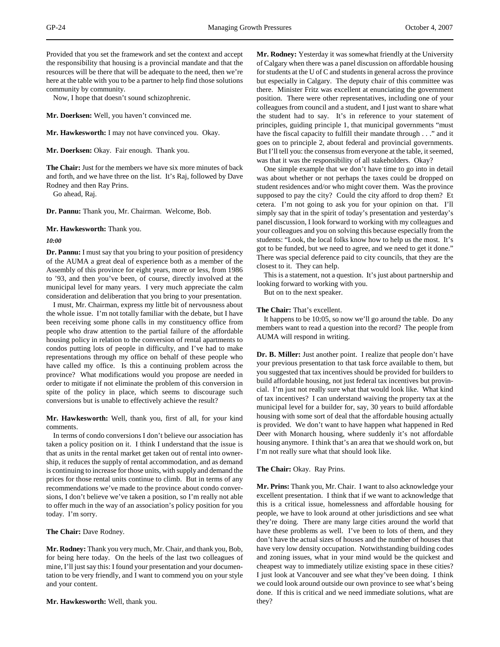Provided that you set the framework and set the context and accept the responsibility that housing is a provincial mandate and that the resources will be there that will be adequate to the need, then we're here at the table with you to be a partner to help find those solutions community by community.

Now, I hope that doesn't sound schizophrenic.

**Mr. Doerksen:** Well, you haven't convinced me.

**Mr. Hawkesworth:** I may not have convinced you. Okay.

**Mr. Doerksen:** Okay. Fair enough. Thank you.

**The Chair:** Just for the members we have six more minutes of back and forth, and we have three on the list. It's Raj, followed by Dave Rodney and then Ray Prins.

Go ahead, Raj.

**Dr. Pannu:** Thank you, Mr. Chairman. Welcome, Bob.

**Mr. Hawkesworth:** Thank you.

#### *10:00*

**Dr. Pannu:** I must say that you bring to your position of presidency of the AUMA a great deal of experience both as a member of the Assembly of this province for eight years, more or less, from 1986 to '93, and then you've been, of course, directly involved at the municipal level for many years. I very much appreciate the calm consideration and deliberation that you bring to your presentation.

I must, Mr. Chairman, express my little bit of nervousness about the whole issue. I'm not totally familiar with the debate, but I have been receiving some phone calls in my constituency office from people who draw attention to the partial failure of the affordable housing policy in relation to the conversion of rental apartments to condos putting lots of people in difficulty, and I've had to make representations through my office on behalf of these people who have called my office. Is this a continuing problem across the province? What modifications would you propose are needed in order to mitigate if not eliminate the problem of this conversion in spite of the policy in place, which seems to discourage such conversions but is unable to effectively achieve the result?

# **Mr. Hawkesworth:** Well, thank you, first of all, for your kind comments.

In terms of condo conversions I don't believe our association has taken a policy position on it. I think I understand that the issue is that as units in the rental market get taken out of rental into ownership, it reduces the supply of rental accommodation, and as demand is continuing to increase for those units, with supply and demand the prices for those rental units continue to climb. But in terms of any recommendations we've made to the province about condo conversions, I don't believe we've taken a position, so I'm really not able to offer much in the way of an association's policy position for you today. I'm sorry.

**The Chair:** Dave Rodney.

**Mr. Rodney:** Thank you very much, Mr. Chair, and thank you, Bob, for being here today. On the heels of the last two colleagues of mine, I'll just say this: I found your presentation and your documentation to be very friendly, and I want to commend you on your style and your content.

**Mr. Hawkesworth:** Well, thank you.

**Mr. Rodney:** Yesterday it was somewhat friendly at the University of Calgary when there was a panel discussion on affordable housing for students at the U of C and students in general across the province but especially in Calgary. The deputy chair of this committee was there. Minister Fritz was excellent at enunciating the government position. There were other representatives, including one of your colleagues from council and a student, and I just want to share what the student had to say. It's in reference to your statement of principles, guiding principle 1, that municipal governments "must have the fiscal capacity to fulfill their mandate through . . ." and it goes on to principle 2, about federal and provincial governments. But I'll tell you: the consensus from everyone at the table, it seemed, was that it was the responsibility of all stakeholders. Okay?

One simple example that we don't have time to go into in detail was about whether or not perhaps the taxes could be dropped on student residences and/or who might cover them. Was the province supposed to pay the city? Could the city afford to drop them? Et cetera. I'm not going to ask you for your opinion on that. I'll simply say that in the spirit of today's presentation and yesterday's panel discussion, I look forward to working with my colleagues and your colleagues and you on solving this because especially from the students: "Look, the local folks know how to help us the most. It's got to be funded, but we need to agree, and we need to get it done." There was special deference paid to city councils, that they are the closest to it. They can help.

This is a statement, not a question. It's just about partnership and looking forward to working with you.

But on to the next speaker.

**The Chair:** That's excellent.

It happens to be 10:05, so now we'll go around the table. Do any members want to read a question into the record? The people from AUMA will respond in writing.

**Dr. B. Miller:** Just another point. I realize that people don't have your previous presentation to that task force available to them, but you suggested that tax incentives should be provided for builders to build affordable housing, not just federal tax incentives but provincial. I'm just not really sure what that would look like. What kind of tax incentives? I can understand waiving the property tax at the municipal level for a builder for, say, 30 years to build affordable housing with some sort of deal that the affordable housing actually is provided. We don't want to have happen what happened in Red Deer with Monarch housing, where suddenly it's not affordable housing anymore. I think that's an area that we should work on, but I'm not really sure what that should look like.

#### **The Chair:** Okay. Ray Prins.

**Mr. Prins:** Thank you, Mr. Chair. I want to also acknowledge your excellent presentation. I think that if we want to acknowledge that this is a critical issue, homelessness and affordable housing for people, we have to look around at other jurisdictions and see what they're doing. There are many large cities around the world that have these problems as well. I've been to lots of them, and they don't have the actual sizes of houses and the number of houses that have very low density occupation. Notwithstanding building codes and zoning issues, what in your mind would be the quickest and cheapest way to immediately utilize existing space in these cities? I just look at Vancouver and see what they've been doing. I think we could look around outside our own province to see what's being done. If this is critical and we need immediate solutions, what are they?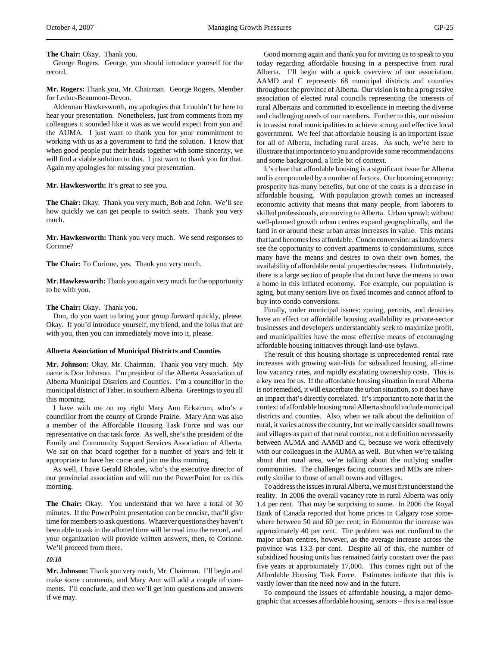## **The Chair:** Okay. Thank you.

George Rogers. George, you should introduce yourself for the record.

**Mr. Rogers:** Thank you, Mr. Chairman. George Rogers, Member for Leduc-Beaumont-Devon.

Alderman Hawkesworth, my apologies that I couldn't be here to hear your presentation. Nonetheless, just from comments from my colleagues it sounded like it was as we would expect from you and the AUMA. I just want to thank you for your commitment to working with us as a government to find the solution. I know that when good people put their heads together with some sincerity, we will find a viable solution to this. I just want to thank you for that. Again my apologies for missing your presentation.

## **Mr. Hawkesworth:** It's great to see you.

**The Chair:** Okay. Thank you very much, Bob and John. We'll see how quickly we can get people to switch seats. Thank you very much.

**Mr. Hawkesworth:** Thank you very much. We send responses to Corinne?

**The Chair:** To Corinne, yes. Thank you very much.

**Mr. Hawkesworth:** Thank you again very much for the opportunity to be with you.

### **The Chair:** Okay. Thank you.

Don, do you want to bring your group forward quickly, please. Okay. If you'd introduce yourself, my friend, and the folks that are with you, then you can immediately move into it, please.

## **Alberta Association of Municipal Districts and Counties**

**Mr. Johnson:** Okay, Mr. Chairman. Thank you very much. My name is Don Johnson. I'm president of the Alberta Association of Alberta Municipal Districts and Counties. I'm a councillor in the municipal district of Taber, in southern Alberta. Greetings to you all this morning.

I have with me on my right Mary Ann Eckstrom, who's a councillor from the county of Grande Prairie. Mary Ann was also a member of the Affordable Housing Task Force and was our representative on that task force. As well, she's the president of the Family and Community Support Services Association of Alberta. We sat on that board together for a number of years and felt it appropriate to have her come and join me this morning.

As well, I have Gerald Rhodes, who's the executive director of our provincial association and will run the PowerPoint for us this morning.

**The Chair:** Okay. You understand that we have a total of 30 minutes. If the PowerPoint presentation can be concise, that'll give time for members to ask questions. Whatever questions they haven't been able to ask in the allotted time will be read into the record, and your organization will provide written answers, then, to Corinne. We'll proceed from there.

*10:10*

**Mr. Johnson:** Thank you very much, Mr. Chairman. I'll begin and make some comments, and Mary Ann will add a couple of comments. I'll conclude, and then we'll get into questions and answers if we may.

Good morning again and thank you for inviting us to speak to you today regarding affordable housing in a perspective from rural Alberta. I'll begin with a quick overview of our association. AAMD and C represents 68 municipal districts and counties throughout the province of Alberta. Our vision is to be a progressive association of elected rural councils representing the interests of rural Albertans and committed to excellence in meeting the diverse and challenging needs of our members. Further to this, our mission is to assist rural municipalities to achieve strong and effective local government. We feel that affordable housing is an important issue for all of Alberta, including rural areas. As such, we're here to illustrate that importance to you and provide some recommendations and some background, a little bit of context.

It's clear that affordable housing is a significant issue for Alberta and is compounded by a number of factors. Our booming economy: prosperity has many benefits, but one of the costs is a decrease in affordable housing. With population growth comes an increased economic activity that means that many people, from laborers to skilled professionals, are moving to Alberta. Urban sprawl: without well-planned growth urban centres expand geographically, and the land in or around these urban areas increases in value. This means that land becomes less affordable. Condo conversion: as landowners see the opportunity to convert apartments to condominiums, since many have the means and desires to own their own homes, the availability of affordable rental properties decreases. Unfortunately, there is a large section of people that do not have the means to own a home in this inflated economy. For example, our population is aging, but many seniors live on fixed incomes and cannot afford to buy into condo conversions.

Finally, under municipal issues: zoning, permits, and densities have an effect on affordable housing availability as private-sector businesses and developers understandably seek to maximize profit, and municipalities have the most effective means of encouraging affordable housing initiatives through land-use bylaws.

The result of this housing shortage is unprecedented rental rate increases with growing wait-lists for subsidized housing, all-time low vacancy rates, and rapidly escalating ownership costs. This is a key area for us. If the affordable housing situation in rural Alberta is not remedied, it will exacerbate the urban situation, so it does have an impact that's directly correlated. It's important to note that in the context of affordable housing rural Alberta should include municipal districts and counties. Also, when we talk about the definition of rural, it varies across the country, but we really consider small towns and villages as part of that rural context, not a definition necessarily between AUMA and AAMD and C, because we work effectively with our colleagues in the AUMA as well. But when we're talking about that rural area, we're talking about the outlying smaller communities. The challenges facing counties and MDs are inherently similar to those of small towns and villages.

To address the issues in rural Alberta, we must first understand the reality. In 2006 the overall vacancy rate in rural Alberta was only 1.4 per cent. That may be surprising to some. In 2006 the Royal Bank of Canada reported that home prices in Calgary rose somewhere between 50 and 60 per cent; in Edmonton the increase was approximately 40 per cent. The problem was not confined to the major urban centres, however, as the average increase across the province was 13.3 per cent. Despite all of this, the number of subsidized housing units has remained fairly constant over the past five years at approximately 17,000. This comes right out of the Affordable Housing Task Force. Estimates indicate that this is vastly lower than the need now and in the future.

To compound the issues of affordable housing, a major demographic that accesses affordable housing, seniors – this is a real issue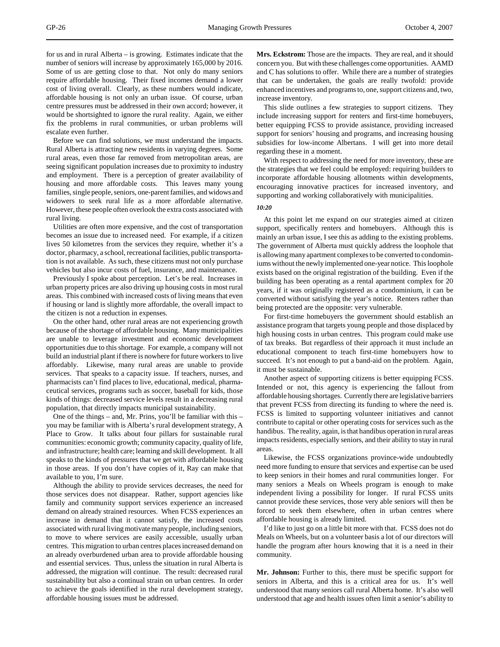for us and in rural Alberta – is growing. Estimates indicate that the number of seniors will increase by approximately 165,000 by 2016. Some of us are getting close to that. Not only do many seniors require affordable housing. Their fixed incomes demand a lower cost of living overall. Clearly, as these numbers would indicate, affordable housing is not only an urban issue. Of course, urban centre pressures must be addressed in their own accord; however, it would be shortsighted to ignore the rural reality. Again, we either fix the problems in rural communities, or urban problems will escalate even further.

Before we can find solutions, we must understand the impacts. Rural Alberta is attracting new residents in varying degrees. Some rural areas, even those far removed from metropolitan areas, are seeing significant population increases due to proximity to industry and employment. There is a perception of greater availability of housing and more affordable costs. This leaves many young families, single people, seniors, one-parent families, and widows and widowers to seek rural life as a more affordable alternative. However, these people often overlook the extra costs associated with rural living.

Utilities are often more expensive, and the cost of transportation becomes an issue due to increased need. For example, if a citizen lives 50 kilometres from the services they require, whether it's a doctor, pharmacy, a school, recreational facilities, public transportation is not available. As such, these citizens must not only purchase vehicles but also incur costs of fuel, insurance, and maintenance.

Previously I spoke about perception. Let's be real. Increases in urban property prices are also driving up housing costs in most rural areas. This combined with increased costs of living means that even if housing or land is slightly more affordable, the overall impact to the citizen is not a reduction in expenses.

On the other hand, other rural areas are not experiencing growth because of the shortage of affordable housing. Many municipalities are unable to leverage investment and economic development opportunities due to this shortage. For example, a company will not build an industrial plant if there is nowhere for future workers to live affordably. Likewise, many rural areas are unable to provide services. That speaks to a capacity issue. If teachers, nurses, and pharmacists can't find places to live, educational, medical, pharmaceutical services, programs such as soccer, baseball for kids, those kinds of things: decreased service levels result in a decreasing rural population, that directly impacts municipal sustainability.

One of the things – and, Mr. Prins, you'll be familiar with this – you may be familiar with is Alberta's rural development strategy, A Place to Grow. It talks about four pillars for sustainable rural communities: economic growth; community capacity, quality of life, and infrastructure; health care; learning and skill development. It all speaks to the kinds of pressures that we get with affordable housing in those areas. If you don't have copies of it, Ray can make that available to you, I'm sure.

Although the ability to provide services decreases, the need for those services does not disappear. Rather, support agencies like family and community support services experience an increased demand on already strained resources. When FCSS experiences an increase in demand that it cannot satisfy, the increased costs associated with rural living motivate many people, including seniors, to move to where services are easily accessible, usually urban centres. This migration to urban centres places increased demand on an already overburdened urban area to provide affordable housing and essential services. Thus, unless the situation in rural Alberta is addressed, the migration will continue. The result: decreased rural sustainability but also a continual strain on urban centres. In order to achieve the goals identified in the rural development strategy, affordable housing issues must be addressed.

**Mrs. Eckstrom:** Those are the impacts. They are real, and it should concern you. But with these challenges come opportunities. AAMD and C has solutions to offer. While there are a number of strategies that can be undertaken, the goals are really twofold: provide enhanced incentives and programs to, one, support citizens and, two, increase inventory.

This slide outlines a few strategies to support citizens. They include increasing support for renters and first-time homebuyers, better equipping FCSS to provide assistance, providing increased support for seniors' housing and programs, and increasing housing subsidies for low-income Albertans. I will get into more detail regarding these in a moment.

With respect to addressing the need for more inventory, these are the strategies that we feel could be employed: requiring builders to incorporate affordable housing allotments within developments, encouraging innovative practices for increased inventory, and supporting and working collaboratively with municipalities.

## *10:20*

At this point let me expand on our strategies aimed at citizen support, specifically renters and homebuyers. Although this is mainly an urban issue, I see this as adding to the existing problems. The government of Alberta must quickly address the loophole that is allowing many apartment complexes to be converted to condominiums without the newly implemented one-year notice. This loophole exists based on the original registration of the building. Even if the building has been operating as a rental apartment complex for 20 years, if it was originally registered as a condominium, it can be converted without satisfying the year's notice. Renters rather than being protected are the opposite: very vulnerable.

For first-time homebuyers the government should establish an assistance program that targets young people and those displaced by high housing costs in urban centres. This program could make use of tax breaks. But regardless of their approach it must include an educational component to teach first-time homebuyers how to succeed. It's not enough to put a band-aid on the problem. Again, it must be sustainable.

Another aspect of supporting citizens is better equipping FCSS. Intended or not, this agency is experiencing the fallout from affordable housing shortages. Currently there are legislative barriers that prevent FCSS from directing its funding to where the need is. FCSS is limited to supporting volunteer initiatives and cannot contribute to capital or other operating costs for services such as the handibus. The reality, again, is that handibus operation in rural areas impacts residents, especially seniors, and their ability to stay in rural areas.

Likewise, the FCSS organizations province-wide undoubtedly need more funding to ensure that services and expertise can be used to keep seniors in their homes and rural communities longer. For many seniors a Meals on Wheels program is enough to make independent living a possibility for longer. If rural FCSS units cannot provide these services, those very able seniors will then be forced to seek them elsewhere, often in urban centres where affordable housing is already limited.

I'd like to just go on a little bit more with that. FCSS does not do Meals on Wheels, but on a volunteer basis a lot of our directors will handle the program after hours knowing that it is a need in their community.

**Mr. Johnson:** Further to this, there must be specific support for seniors in Alberta, and this is a critical area for us. It's well understood that many seniors call rural Alberta home. It's also well understood that age and health issues often limit a senior's ability to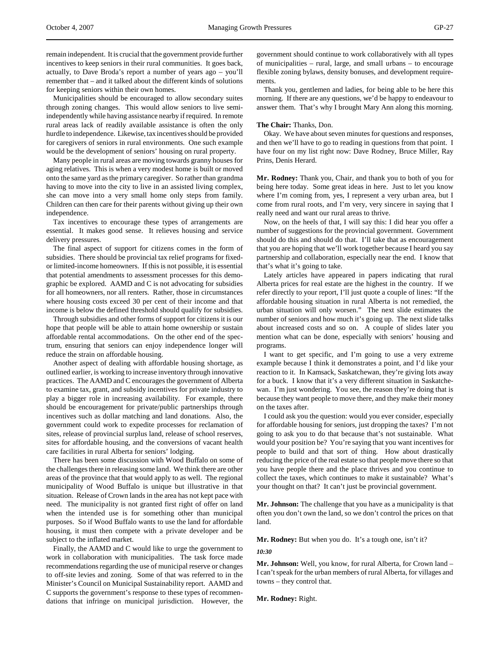Municipalities should be encouraged to allow secondary suites through zoning changes. This would allow seniors to live semiindependently while having assistance nearby if required. In remote rural areas lack of readily available assistance is often the only hurdle to independence. Likewise, tax incentives should be provided for caregivers of seniors in rural environments. One such example would be the development of seniors' housing on rural property.

Many people in rural areas are moving towards granny houses for aging relatives. This is when a very modest home is built or moved onto the same yard as the primary caregiver. So rather than grandma having to move into the city to live in an assisted living complex, she can move into a very small home only steps from family. Children can then care for their parents without giving up their own independence.

Tax incentives to encourage these types of arrangements are essential. It makes good sense. It relieves housing and service delivery pressures.

The final aspect of support for citizens comes in the form of subsidies. There should be provincial tax relief programs for fixedor limited-income homeowners. If this is not possible, it is essential that potential amendments to assessment processes for this demographic be explored. AAMD and C is not advocating for subsidies for all homeowners, nor all renters. Rather, those in circumstances where housing costs exceed 30 per cent of their income and that income is below the defined threshold should qualify for subsidies.

Through subsidies and other forms of support for citizens it is our hope that people will be able to attain home ownership or sustain affordable rental accommodations. On the other end of the spectrum, ensuring that seniors can enjoy independence longer will reduce the strain on affordable housing.

Another aspect of dealing with affordable housing shortage, as outlined earlier, is working to increase inventory through innovative practices. The AAMD and C encourages the government of Alberta to examine tax, grant, and subsidy incentives for private industry to play a bigger role in increasing availability. For example, there should be encouragement for private/public partnerships through incentives such as dollar matching and land donations. Also, the government could work to expedite processes for reclamation of sites, release of provincial surplus land, release of school reserves, sites for affordable housing, and the conversions of vacant health care facilities in rural Alberta for seniors' lodging.

There has been some discussion with Wood Buffalo on some of the challenges there in releasing some land. We think there are other areas of the province that that would apply to as well. The regional municipality of Wood Buffalo is unique but illustrative in that situation. Release of Crown lands in the area has not kept pace with need. The municipality is not granted first right of offer on land when the intended use is for something other than municipal purposes. So if Wood Buffalo wants to use the land for affordable housing, it must then compete with a private developer and be subject to the inflated market.

Finally, the AAMD and C would like to urge the government to work in collaboration with municipalities. The task force made recommendations regarding the use of municipal reserve or changes to off-site levies and zoning. Some of that was referred to in the Minister's Council on Municipal Sustainability report. AAMD and C supports the government's response to these types of recommendations that infringe on municipal jurisdiction. However, the government should continue to work collaboratively with all types of municipalities – rural, large, and small urbans – to encourage flexible zoning bylaws, density bonuses, and development requirements.

Thank you, gentlemen and ladies, for being able to be here this morning. If there are any questions, we'd be happy to endeavour to answer them. That's why I brought Mary Ann along this morning.

## **The Chair:** Thanks, Don.

Okay. We have about seven minutes for questions and responses, and then we'll have to go to reading in questions from that point. I have four on my list right now: Dave Rodney, Bruce Miller, Ray Prins, Denis Herard.

**Mr. Rodney:** Thank you, Chair, and thank you to both of you for being here today. Some great ideas in here. Just to let you know where I'm coming from, yes, I represent a very urban area, but I come from rural roots, and I'm very, very sincere in saying that I really need and want our rural areas to thrive.

Now, on the heels of that, I will say this: I did hear you offer a number of suggestions for the provincial government. Government should do this and should do that. I'll take that as encouragement that you are hoping that we'll work together because I heard you say partnership and collaboration, especially near the end. I know that that's what it's going to take.

Lately articles have appeared in papers indicating that rural Alberta prices for real estate are the highest in the country. If we refer directly to your report, I'll just quote a couple of lines: "If the affordable housing situation in rural Alberta is not remedied, the urban situation will only worsen." The next slide estimates the number of seniors and how much it's going up. The next slide talks about increased costs and so on. A couple of slides later you mention what can be done, especially with seniors' housing and programs.

I want to get specific, and I'm going to use a very extreme example because I think it demonstrates a point, and I'd like your reaction to it. In Kamsack, Saskatchewan, they're giving lots away for a buck. I know that it's a very different situation in Saskatchewan. I'm just wondering. You see, the reason they're doing that is because they want people to move there, and they make their money on the taxes after.

I could ask you the question: would you ever consider, especially for affordable housing for seniors, just dropping the taxes? I'm not going to ask you to do that because that's not sustainable. What would your position be? You're saying that you want incentives for people to build and that sort of thing. How about drastically reducing the price of the real estate so that people move there so that you have people there and the place thrives and you continue to collect the taxes, which continues to make it sustainable? What's your thought on that? It can't just be provincial government.

**Mr. Johnson:** The challenge that you have as a municipality is that often you don't own the land, so we don't control the prices on that land.

**Mr. Rodney:** But when you do. It's a tough one, isn't it? *10:30*

**Mr. Johnson:** Well, you know, for rural Alberta, for Crown land – I can't speak for the urban members of rural Alberta, for villages and towns – they control that.

**Mr. Rodney:** Right.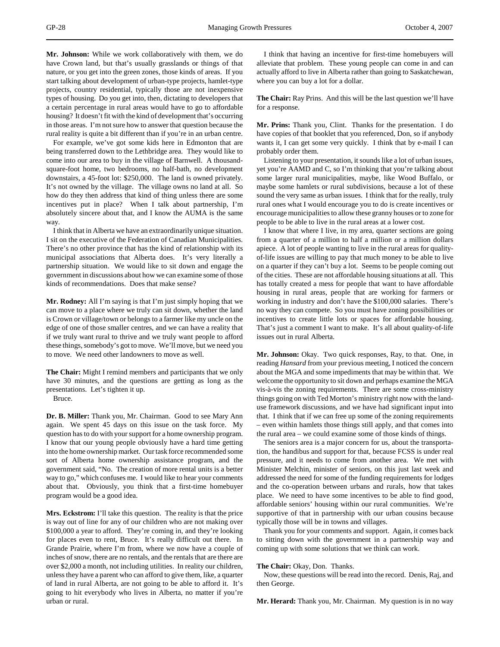**Mr. Johnson:** While we work collaboratively with them, we do have Crown land, but that's usually grasslands or things of that nature, or you get into the green zones, those kinds of areas. If you start talking about development of urban-type projects, hamlet-type projects, country residential, typically those are not inexpensive types of housing. Do you get into, then, dictating to developers that a certain percentage in rural areas would have to go to affordable housing? It doesn't fit with the kind of development that's occurring in those areas. I'm not sure how to answer that question because the rural reality is quite a bit different than if you're in an urban centre.

For example, we've got some kids here in Edmonton that are being transferred down to the Lethbridge area. They would like to come into our area to buy in the village of Barnwell. A thousandsquare-foot home, two bedrooms, no half-bath, no development downstairs, a 45-foot lot: \$250,000. The land is owned privately. It's not owned by the village. The village owns no land at all. So how do they then address that kind of thing unless there are some incentives put in place? When I talk about partnership, I'm absolutely sincere about that, and I know the AUMA is the same way.

I think that in Alberta we have an extraordinarily unique situation. I sit on the executive of the Federation of Canadian Municipalities. There's no other province that has the kind of relationship with its municipal associations that Alberta does. It's very literally a partnership situation. We would like to sit down and engage the government in discussions about how we can examine some of those kinds of recommendations. Does that make sense?

**Mr. Rodney:** All I'm saying is that I'm just simply hoping that we can move to a place where we truly can sit down, whether the land is Crown or village/town or belongs to a farmer like my uncle on the edge of one of those smaller centres, and we can have a reality that if we truly want rural to thrive and we truly want people to afford these things, somebody's got to move. We'll move, but we need you to move. We need other landowners to move as well.

**The Chair:** Might I remind members and participants that we only have 30 minutes, and the questions are getting as long as the presentations. Let's tighten it up.

Bruce.

**Dr. B. Miller:** Thank you, Mr. Chairman. Good to see Mary Ann again. We spent 45 days on this issue on the task force. My question has to do with your support for a home ownership program. I know that our young people obviously have a hard time getting into the home ownership market. Our task force recommended some sort of Alberta home ownership assistance program, and the government said, "No. The creation of more rental units is a better way to go," which confuses me. I would like to hear your comments about that. Obviously, you think that a first-time homebuyer program would be a good idea.

**Mrs. Eckstrom:** I'll take this question. The reality is that the price is way out of line for any of our children who are not making over \$100,000 a year to afford. They're coming in, and they're looking for places even to rent, Bruce. It's really difficult out there. In Grande Prairie, where I'm from, where we now have a couple of inches of snow, there are no rentals, and the rentals that are there are over \$2,000 a month, not including utilities. In reality our children, unless they have a parent who can afford to give them, like, a quarter of land in rural Alberta, are not going to be able to afford it. It's going to hit everybody who lives in Alberta, no matter if you're urban or rural.

I think that having an incentive for first-time homebuyers will alleviate that problem. These young people can come in and can actually afford to live in Alberta rather than going to Saskatchewan, where you can buy a lot for a dollar.

**The Chair:** Ray Prins. And this will be the last question we'll have for a response.

**Mr. Prins:** Thank you, Clint. Thanks for the presentation. I do have copies of that booklet that you referenced, Don, so if anybody wants it, I can get some very quickly. I think that by e-mail I can probably order them.

Listening to your presentation, it sounds like a lot of urban issues, yet you're AAMD and C, so I'm thinking that you're talking about some larger rural municipalities, maybe, like Wood Buffalo, or maybe some hamlets or rural subdivisions, because a lot of these sound the very same as urban issues. I think that for the really, truly rural ones what I would encourage you to do is create incentives or encourage municipalities to allow these granny houses or to zone for people to be able to live in the rural areas at a lower cost.

I know that where I live, in my area, quarter sections are going from a quarter of a million to half a million or a million dollars apiece. A lot of people wanting to live in the rural areas for qualityof-life issues are willing to pay that much money to be able to live on a quarter if they can't buy a lot. Seems to be people coming out of the cities. These are not affordable housing situations at all. This has totally created a mess for people that want to have affordable housing in rural areas, people that are working for farmers or working in industry and don't have the \$100,000 salaries. There's no way they can compete. So you must have zoning possibilities or incentives to create little lots or spaces for affordable housing. That's just a comment I want to make. It's all about quality-of-life issues out in rural Alberta.

**Mr. Johnson:** Okay. Two quick responses, Ray, to that. One, in reading *Hansard* from your previous meeting, I noticed the concern about the MGA and some impediments that may be within that. We welcome the opportunity to sit down and perhaps examine the MGA vis-à-vis the zoning requirements. There are some cross-ministry things going on with Ted Morton's ministry right now with the landuse framework discussions, and we have had significant input into that. I think that if we can free up some of the zoning requirements – even within hamlets those things still apply, and that comes into the rural area – we could examine some of those kinds of things.

The seniors area is a major concern for us, about the transportation, the handibus and support for that, because FCSS is under real pressure, and it needs to come from another area. We met with Minister Melchin, minister of seniors, on this just last week and addressed the need for some of the funding requirements for lodges and the co-operation between urbans and rurals, how that takes place. We need to have some incentives to be able to find good, affordable seniors' housing within our rural communities. We're supportive of that in partnership with our urban cousins because typically those will be in towns and villages.

Thank you for your comments and support. Again, it comes back to sitting down with the government in a partnership way and coming up with some solutions that we think can work.

## **The Chair:** Okay, Don. Thanks.

Now, these questions will be read into the record. Denis, Raj, and then George.

**Mr. Herard:** Thank you, Mr. Chairman. My question is in no way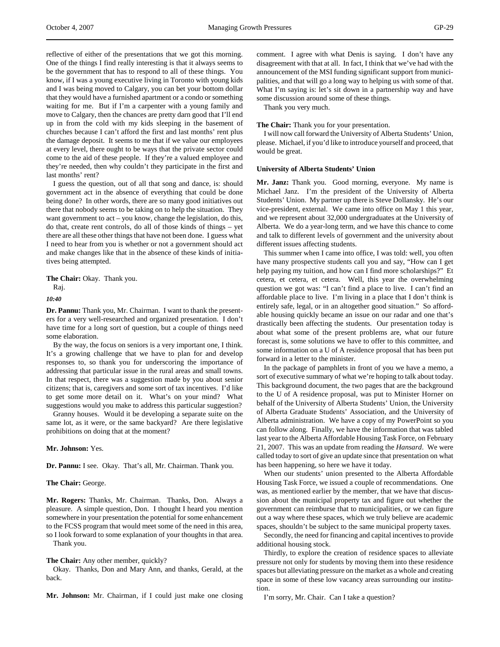reflective of either of the presentations that we got this morning. One of the things I find really interesting is that it always seems to be the government that has to respond to all of these things. You know, if I was a young executive living in Toronto with young kids and I was being moved to Calgary, you can bet your bottom dollar that they would have a furnished apartment or a condo or something waiting for me. But if I'm a carpenter with a young family and move to Calgary, then the chances are pretty darn good that I'll end up in from the cold with my kids sleeping in the basement of churches because I can't afford the first and last months' rent plus the damage deposit. It seems to me that if we value our employees at every level, there ought to be ways that the private sector could come to the aid of these people. If they're a valued employee and they're needed, then why couldn't they participate in the first and last months' rent?

I guess the question, out of all that song and dance, is: should government act in the absence of everything that could be done being done? In other words, there are so many good initiatives out there that nobody seems to be taking on to help the situation. They want government to act – you know, change the legislation, do this, do that, create rent controls, do all of those kinds of things – yet there are all these other things that have not been done. I guess what I need to hear from you is whether or not a government should act and make changes like that in the absence of these kinds of initiatives being attempted.

**The Chair:** Okay. Thank you.

Raj.

*10:40*

**Dr. Pannu:** Thank you, Mr. Chairman. I want to thank the presenters for a very well-researched and organized presentation. I don't have time for a long sort of question, but a couple of things need some elaboration.

By the way, the focus on seniors is a very important one, I think. It's a growing challenge that we have to plan for and develop responses to, so thank you for underscoring the importance of addressing that particular issue in the rural areas and small towns. In that respect, there was a suggestion made by you about senior citizens; that is, caregivers and some sort of tax incentives. I'd like to get some more detail on it. What's on your mind? What suggestions would you make to address this particular suggestion?

Granny houses. Would it be developing a separate suite on the same lot, as it were, or the same backyard? Are there legislative prohibitions on doing that at the moment?

## **Mr. Johnson:** Yes.

**Dr. Pannu:** I see. Okay. That's all, Mr. Chairman. Thank you.

## **The Chair:** George.

**Mr. Rogers:** Thanks, Mr. Chairman. Thanks, Don. Always a pleasure. A simple question, Don. I thought I heard you mention somewhere in your presentation the potential for some enhancement to the FCSS program that would meet some of the need in this area, so I look forward to some explanation of your thoughts in that area. Thank you.

## **The Chair:** Any other member, quickly?

Okay. Thanks, Don and Mary Ann, and thanks, Gerald, at the back.

**Mr. Johnson:** Mr. Chairman, if I could just make one closing

comment. I agree with what Denis is saying. I don't have any disagreement with that at all. In fact, I think that we've had with the announcement of the MSI funding significant support from municipalities, and that will go a long way to helping us with some of that. What I'm saying is: let's sit down in a partnership way and have some discussion around some of these things.

Thank you very much.

**The Chair:** Thank you for your presentation.

I will now call forward the University of Alberta Students' Union, please. Michael, if you'd like to introduce yourself and proceed, that would be great.

## **University of Alberta Students' Union**

**Mr. Janz:** Thank you. Good morning, everyone. My name is Michael Janz. I'm the president of the University of Alberta Students' Union. My partner up there is Steve Dollansky. He's our vice-president, external. We came into office on May 1 this year, and we represent about 32,000 undergraduates at the University of Alberta. We do a year-long term, and we have this chance to come and talk to different levels of government and the university about different issues affecting students.

This summer when I came into office, I was told: well, you often have many prospective students call you and say, "How can I get help paying my tuition, and how can I find more scholarships?" Et cetera, et cetera, et cetera. Well, this year the overwhelming question we got was: "I can't find a place to live. I can't find an affordable place to live. I'm living in a place that I don't think is entirely safe, legal, or in an altogether good situation." So affordable housing quickly became an issue on our radar and one that's drastically been affecting the students. Our presentation today is about what some of the present problems are, what our future forecast is, some solutions we have to offer to this committee, and some information on a U of A residence proposal that has been put forward in a letter to the minister.

In the package of pamphlets in front of you we have a memo, a sort of executive summary of what we're hoping to talk about today. This background document, the two pages that are the background to the U of A residence proposal, was put to Minister Horner on behalf of the University of Alberta Students' Union, the University of Alberta Graduate Students' Association, and the University of Alberta administration. We have a copy of my PowerPoint so you can follow along. Finally, we have the information that was tabled last year to the Alberta Affordable Housing Task Force, on February 21, 2007. This was an update from reading the *Hansard*. We were called today to sort of give an update since that presentation on what has been happening, so here we have it today.

When our students' union presented to the Alberta Affordable Housing Task Force, we issued a couple of recommendations. One was, as mentioned earlier by the member, that we have that discussion about the municipal property tax and figure out whether the government can reimburse that to municipalities, or we can figure out a way where these spaces, which we truly believe are academic spaces, shouldn't be subject to the same municipal property taxes.

Secondly, the need for financing and capital incentives to provide additional housing stock.

Thirdly, to explore the creation of residence spaces to alleviate pressure not only for students by moving them into these residence spaces but alleviating pressure on the market as a whole and creating space in some of these low vacancy areas surrounding our institution.

I'm sorry, Mr. Chair. Can I take a question?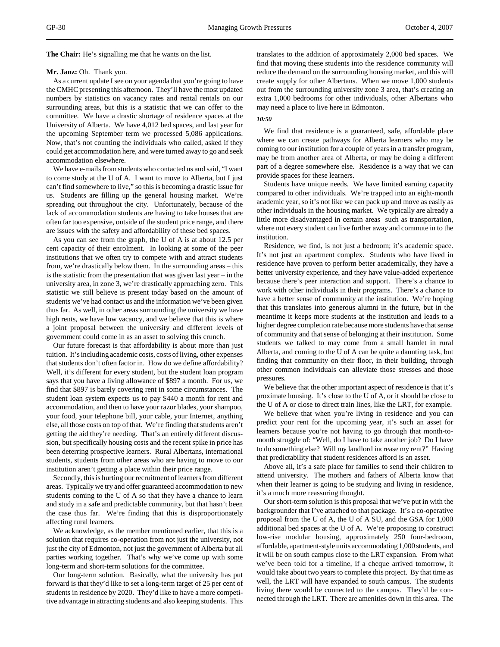**The Chair:** He's signalling me that he wants on the list.

# **Mr. Janz:** Oh. Thank you.

As a current update I see on your agenda that you're going to have the CMHC presenting this afternoon. They'll have the most updated numbers by statistics on vacancy rates and rental rentals on our surrounding areas, but this is a statistic that we can offer to the committee. We have a drastic shortage of residence spaces at the University of Alberta. We have 4,012 bed spaces, and last year for the upcoming September term we processed 5,086 applications. Now, that's not counting the individuals who called, asked if they could get accommodation here, and were turned away to go and seek accommodation elsewhere.

We have e-mails from students who contacted us and said, "I want to come study at the U of A. I want to move to Alberta, but I just can't find somewhere to live," so this is becoming a drastic issue for us. Students are filling up the general housing market. We're spreading out throughout the city. Unfortunately, because of the lack of accommodation students are having to take houses that are often far too expensive, outside of the student price range, and there are issues with the safety and affordability of these bed spaces.

As you can see from the graph, the U of A is at about 12.5 per cent capacity of their enrolment. In looking at some of the peer institutions that we often try to compete with and attract students from, we're drastically below them. In the surrounding areas – this is the statistic from the presentation that was given last year – in the university area, in zone 3, we're drastically approaching zero. This statistic we still believe is present today based on the amount of students we've had contact us and the information we've been given thus far. As well, in other areas surrounding the university we have high rents, we have low vacancy, and we believe that this is where a joint proposal between the university and different levels of government could come in as an asset to solving this crunch.

Our future forecast is that affordability is about more than just tuition. It's including academic costs, costs of living, other expenses that students don't often factor in. How do we define affordability? Well, it's different for every student, but the student loan program says that you have a living allowance of \$897 a month. For us, we find that \$897 is barely covering rent in some circumstances. The student loan system expects us to pay \$440 a month for rent and accommodation, and then to have your razor blades, your shampoo, your food, your telephone bill, your cable, your Internet, anything else, all those costs on top of that. We're finding that students aren't getting the aid they're needing. That's an entirely different discussion, but specifically housing costs and the recent spike in price has been deterring prospective learners. Rural Albertans, international students, students from other areas who are having to move to our institution aren't getting a place within their price range.

Secondly, this is hurting our recruitment of learners from different areas. Typically we try and offer guaranteed accommodation to new students coming to the U of A so that they have a chance to learn and study in a safe and predictable community, but that hasn't been the case thus far. We're finding that this is disproportionately affecting rural learners.

We acknowledge, as the member mentioned earlier, that this is a solution that requires co-operation from not just the university, not just the city of Edmonton, not just the government of Alberta but all parties working together. That's why we've come up with some long-term and short-term solutions for the committee.

Our long-term solution. Basically, what the university has put forward is that they'd like to set a long-term target of 25 per cent of students in residence by 2020. They'd like to have a more competitive advantage in attracting students and also keeping students. This

translates to the addition of approximately 2,000 bed spaces. We find that moving these students into the residence community will reduce the demand on the surrounding housing market, and this will create supply for other Albertans. When we move 1,000 students out from the surrounding university zone 3 area, that's creating an extra 1,000 bedrooms for other individuals, other Albertans who may need a place to live here in Edmonton.

### *10:50*

We find that residence is a guaranteed, safe, affordable place where we can create pathways for Alberta learners who may be coming to our institution for a couple of years in a transfer program, may be from another area of Alberta, or may be doing a different part of a degree somewhere else. Residence is a way that we can provide spaces for these learners.

Students have unique needs. We have limited earning capacity compared to other individuals. We're trapped into an eight-month academic year, so it's not like we can pack up and move as easily as other individuals in the housing market. We typically are already a little more disadvantaged in certain areas such as transportation, where not every student can live further away and commute in to the institution.

Residence, we find, is not just a bedroom; it's academic space. It's not just an apartment complex. Students who have lived in residence have proven to perform better academically, they have a better university experience, and they have value-added experience because there's peer interaction and support. There's a chance to work with other individuals in their programs. There's a chance to have a better sense of community at the institution. We're hoping that this translates into generous alumni in the future, but in the meantime it keeps more students at the institution and leads to a higher degree completion rate because more students have that sense of community and that sense of belonging at their institution. Some students we talked to may come from a small hamlet in rural Alberta, and coming to the U of A can be quite a daunting task, but finding that community on their floor, in their building, through other common individuals can alleviate those stresses and those pressures.

We believe that the other important aspect of residence is that it's proximate housing. It's close to the U of A, or it should be close to the U of A or close to direct train lines, like the LRT, for example.

We believe that when you're living in residence and you can predict your rent for the upcoming year, it's such an asset for learners because you're not having to go through that month-tomonth struggle of: "Well, do I have to take another job? Do I have to do something else? Will my landlord increase my rent?" Having that predictability that student residences afford is an asset.

Above all, it's a safe place for families to send their children to attend university. The mothers and fathers of Alberta know that when their learner is going to be studying and living in residence, it's a much more reassuring thought.

Our short-term solution is this proposal that we've put in with the backgrounder that I've attached to that package. It's a co-operative proposal from the U of A, the U of A SU, and the GSA for 1,000 additional bed spaces at the U of A. We're proposing to construct low-rise modular housing, approximately 250 four-bedroom, affordable, apartment-style units accommodating 1,000 students, and it will be on south campus close to the LRT expansion. From what we've been told for a timeline, if a cheque arrived tomorrow, it would take about two years to complete this project. By that time as well, the LRT will have expanded to south campus. The students living there would be connected to the campus. They'd be connected through the LRT. There are amenities down in this area. The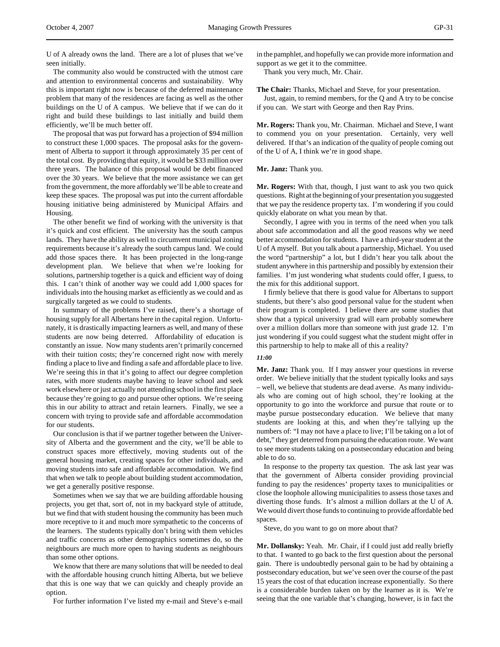U of A already owns the land. There are a lot of pluses that we've seen initially.

The community also would be constructed with the utmost care and attention to environmental concerns and sustainability. Why this is important right now is because of the deferred maintenance problem that many of the residences are facing as well as the other buildings on the U of A campus. We believe that if we can do it right and build these buildings to last initially and build them efficiently, we'll be much better off.

The proposal that was put forward has a projection of \$94 million to construct these 1,000 spaces. The proposal asks for the government of Alberta to support it through approximately 35 per cent of the total cost. By providing that equity, it would be \$33 million over three years. The balance of this proposal would be debt financed over the 30 years. We believe that the more assistance we can get from the government, the more affordably we'll be able to create and keep these spaces. The proposal was put into the current affordable housing initiative being administered by Municipal Affairs and Housing.

The other benefit we find of working with the university is that it's quick and cost efficient. The university has the south campus lands. They have the ability as well to circumvent municipal zoning requirements because it's already the south campus land. We could add those spaces there. It has been projected in the long-range development plan. We believe that when we're looking for solutions, partnership together is a quick and efficient way of doing this. I can't think of another way we could add 1,000 spaces for individuals into the housing market as efficiently as we could and as surgically targeted as we could to students.

In summary of the problems I've raised, there's a shortage of housing supply for all Albertans here in the capital region. Unfortunately, it is drastically impacting learners as well, and many of these students are now being deterred. Affordability of education is constantly an issue. Now many students aren't primarily concerned with their tuition costs; they're concerned right now with merely finding a place to live and finding a safe and affordable place to live. We're seeing this in that it's going to affect our degree completion rates, with more students maybe having to leave school and seek work elsewhere or just actually not attending school in the first place because they're going to go and pursue other options. We're seeing this in our ability to attract and retain learners. Finally, we see a concern with trying to provide safe and affordable accommodation for our students.

Our conclusion is that if we partner together between the University of Alberta and the government and the city, we'll be able to construct spaces more effectively, moving students out of the general housing market, creating spaces for other individuals, and moving students into safe and affordable accommodation. We find that when we talk to people about building student accommodation, we get a generally positive response.

Sometimes when we say that we are building affordable housing projects, you get that, sort of, not in my backyard style of attitude, but we find that with student housing the community has been much more receptive to it and much more sympathetic to the concerns of the learners. The students typically don't bring with them vehicles and traffic concerns as other demographics sometimes do, so the neighbours are much more open to having students as neighbours than some other options.

We know that there are many solutions that will be needed to deal with the affordable housing crunch hitting Alberta, but we believe that this is one way that we can quickly and cheaply provide an option.

For further information I've listed my e-mail and Steve's e-mail

in the pamphlet, and hopefully we can provide more information and support as we get it to the committee.

Thank you very much, Mr. Chair.

**The Chair:** Thanks, Michael and Steve, for your presentation.

Just, again, to remind members, for the Q and A try to be concise if you can. We start with George and then Ray Prins.

**Mr. Rogers:** Thank you, Mr. Chairman. Michael and Steve, I want to commend you on your presentation. Certainly, very well delivered. If that's an indication of the quality of people coming out of the U of A, I think we're in good shape.

**Mr. Janz:** Thank you.

**Mr. Rogers:** With that, though, I just want to ask you two quick questions. Right at the beginning of your presentation you suggested that we pay the residence property tax. I'm wondering if you could quickly elaborate on what you mean by that.

Secondly, I agree with you in terms of the need when you talk about safe accommodation and all the good reasons why we need better accommodation for students. I have a third-year student at the U of A myself. But you talk about a partnership, Michael. You used the word "partnership" a lot, but I didn't hear you talk about the student anywhere in this partnership and possibly by extension their families. I'm just wondering what students could offer, I guess, to the mix for this additional support.

I firmly believe that there is good value for Albertans to support students, but there's also good personal value for the student when their program is completed. I believe there are some studies that show that a typical university grad will earn probably somewhere over a million dollars more than someone with just grade 12. I'm just wondering if you could suggest what the student might offer in this partnership to help to make all of this a reality?

## *11:00*

**Mr. Janz:** Thank you. If I may answer your questions in reverse order. We believe initially that the student typically looks and says – well, we believe that students are dead averse. As many individuals who are coming out of high school, they're looking at the opportunity to go into the workforce and pursue that route or to maybe pursue postsecondary education. We believe that many students are looking at this, and when they're tallying up the numbers of: "I may not have a place to live; I'll be taking on a lot of debt," they get deterred from pursuing the education route. We want to see more students taking on a postsecondary education and being able to do so.

In response to the property tax question. The ask last year was that the government of Alberta consider providing provincial funding to pay the residences' property taxes to municipalities or close the loophole allowing municipalities to assess those taxes and diverting those funds. It's almost a million dollars at the U of A. We would divert those funds to continuing to provide affordable bed spaces.

Steve, do you want to go on more about that?

**Mr. Dollansky:** Yeah. Mr. Chair, if I could just add really briefly to that. I wanted to go back to the first question about the personal gain. There is undoubtedly personal gain to be had by obtaining a postsecondary education, but we've seen over the course of the past 15 years the cost of that education increase exponentially. So there is a considerable burden taken on by the learner as it is. We're seeing that the one variable that's changing, however, is in fact the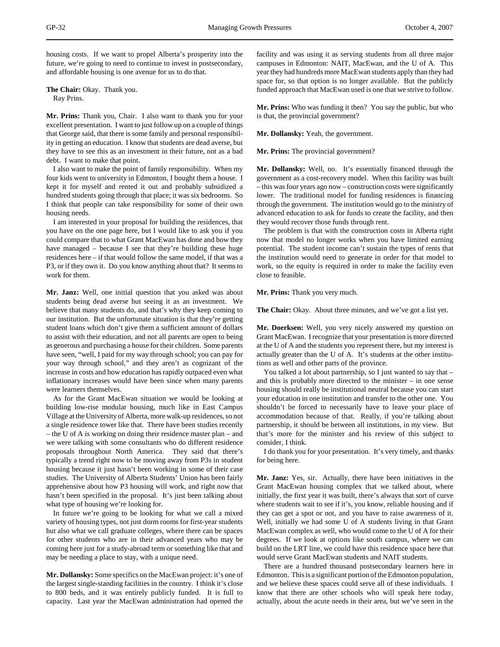housing costs. If we want to propel Alberta's prosperity into the future, we're going to need to continue to invest in postsecondary, and affordable housing is one avenue for us to do that.

**The Chair:** Okay. Thank you. Ray Prins.

**Mr. Prins:** Thank you, Chair. I also want to thank you for your excellent presentation. I want to just follow up on a couple of things that George said, that there is some family and personal responsibility in getting an education. I know that students are dead averse, but they have to see this as an investment in their future, not as a bad debt. I want to make that point.

I also want to make the point of family responsibility. When my four kids went to university in Edmonton, I bought them a house. I kept it for myself and rented it out and probably subsidized a hundred students going through that place; it was six bedrooms. So I think that people can take responsibility for some of their own housing needs.

I am interested in your proposal for building the residences, that you have on the one page here, but I would like to ask you if you could compare that to what Grant MacEwan has done and how they have managed – because I see that they're building these huge residences here – if that would follow the same model, if that was a P3, or if they own it. Do you know anything about that? It seems to work for them.

**Mr. Janz:** Well, one initial question that you asked was about students being dead averse but seeing it as an investment. We believe that many students do, and that's why they keep coming to our institution. But the unfortunate situation is that they're getting student loans which don't give them a sufficient amount of dollars to assist with their education, and not all parents are open to being as generous and purchasing a house for their children. Some parents have seen, "well, I paid for my way through school; you can pay for your way through school," and they aren't as cognizant of the increase in costs and how education has rapidly outpaced even what inflationary increases would have been since when many parents were learners themselves.

As for the Grant MacEwan situation we would be looking at building low-rise modular housing, much like in East Campus Village at the University of Alberta, more walk-up residences, so not a single residence tower like that. There have been studies recently – the U of A is working on doing their residence master plan – and we were talking with some consultants who do different residence proposals throughout North America. They said that there's typically a trend right now to be moving away from P3s in student housing because it just hasn't been working in some of their case studies. The University of Alberta Students' Union has been fairly apprehensive about how P3 housing will work, and right now that hasn't been specified in the proposal. It's just been talking about what type of housing we're looking for.

In future we're going to be looking for what we call a mixed variety of housing types, not just dorm rooms for first-year students but also what we call graduate colleges, where there can be spaces for other students who are in their advanced years who may be coming here just for a study-abroad term or something like that and may be needing a place to stay, with a unique need.

**Mr. Dollansky:** Some specifics on the MacEwan project: it's one of the largest single-standing facilities in the country. I think it's close to 800 beds, and it was entirely publicly funded. It is full to capacity. Last year the MacEwan administration had opened the

facility and was using it as serving students from all three major campuses in Edmonton: NAIT, MacEwan, and the U of A. This year they had hundreds more MacEwan students apply than they had space for, so that option is no longer available. But the publicly funded approach that MacEwan used is one that we strive to follow.

**Mr. Prins:** Who was funding it then? You say the public, but who is that, the provincial government?

**Mr. Dollansky:** Yeah, the government.

**Mr. Prins:** The provincial government?

**Mr. Dollansky:** Well, no. It's essentially financed through the government as a cost-recovery model. When this facility was built – this was four years ago now – construction costs were significantly lower. The traditional model for funding residences is financing through the government. The institution would go to the ministry of advanced education to ask for funds to create the facility, and then they would recover those funds through rent.

The problem is that with the construction costs in Alberta right now that model no longer works when you have limited earning potential. The student income can't sustain the types of rents that the institution would need to generate in order for that model to work, so the equity is required in order to make the facility even close to feasible.

**Mr. Prins:** Thank you very much.

**The Chair:** Okay. About three minutes, and we've got a list yet.

**Mr. Doerksen:** Well, you very nicely answered my question on Grant MacEwan. I recognize that your presentation is more directed at the U of A and the students you represent there, but my interest is actually greater than the U of A. It's students at the other institutions as well and other parts of the province.

You talked a lot about partnership, so I just wanted to say that – and this is probably more directed to the minister – in one sense housing should really be institutional neutral because you can start your education in one institution and transfer to the other one. You shouldn't be forced to necessarily have to leave your place of accommodation because of that. Really, if you're talking about partnership, it should be between all institutions, in my view. But that's more for the minister and his review of this subject to consider, I think.

I do thank you for your presentation. It's very timely, and thanks for being here.

**Mr. Janz:** Yes, sir. Actually, there have been initiatives in the Grant MacEwan housing complex that we talked about, where initially, the first year it was built, there's always that sort of curve where students wait to see if it's, you know, reliable housing and if they can get a spot or not, and you have to raise awareness of it. Well, initially we had some U of A students living in that Grant MacEwan complex as well, who would come to the U of A for their degrees. If we look at options like south campus, where we can build on the LRT line, we could have this residence space here that would serve Grant MacEwan students and NAIT students.

There are a hundred thousand postsecondary learners here in Edmonton. This is a significant portion of the Edmonton population, and we believe these spaces could serve all of these individuals. I know that there are other schools who will speak here today, actually, about the acute needs in their area, but we've seen in the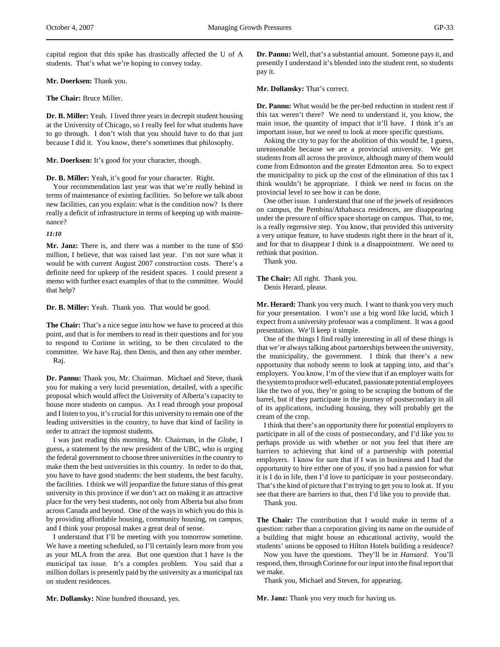capital region that this spike has drastically affected the U of A students. That's what we're hoping to convey today.

# **Mr. Doerksen:** Thank you.

**The Chair:** Bruce Miller.

**Dr. B. Miller:** Yeah. I lived three years in decrepit student housing at the University of Chicago, so I really feel for what students have to go through. I don't wish that you should have to do that just because I did it. You know, there's sometimes that philosophy.

**Mr. Doerksen:** It's good for your character, though.

**Dr. B. Miller:** Yeah, it's good for your character. Right.

Your recommendation last year was that we're really behind in terms of maintenance of existing facilities. So before we talk about new facilities, can you explain: what is the condition now? Is there really a deficit of infrastructure in terms of keeping up with maintenance?

*11:10*

**Mr. Janz:** There is, and there was a number to the tune of \$50 million, I believe, that was raised last year. I'm not sure what it would be with current August 2007 construction costs. There's a definite need for upkeep of the resident spaces. I could present a memo with further exact examples of that to the committee. Would that help?

**Dr. B. Miller:** Yeah. Thank you. That would be good.

**The Chair:** That's a nice segue into how we have to proceed at this point, and that is for members to read in their questions and for you to respond to Corinne in writing, to be then circulated to the committee. We have Raj, then Denis, and then any other member. Raj.

**Dr. Pannu:** Thank you, Mr. Chairman. Michael and Steve, thank you for making a very lucid presentation, detailed, with a specific proposal which would affect the University of Alberta's capacity to house more students on campus. As I read through your proposal and I listen to you, it's crucial for this university to remain one of the leading universities in the country, to have that kind of facility in order to attract the topmost students.

I was just reading this morning, Mr. Chairman, in the *Globe*, I guess, a statement by the new president of the UBC, who is urging the federal government to choose three universities in the country to make them the best universities in this country. In order to do that, you have to have good students: the best students, the best faculty, the facilities. I think we will jeopardize the future status of this great university in this province if we don't act on making it an attractive place for the very best students, not only from Alberta but also from across Canada and beyond. One of the ways in which you do this is by providing affordable housing, community housing, on campus, and I think your proposal makes a great deal of sense.

I understand that I'll be meeting with you tomorrow sometime. We have a meeting scheduled, so I'll certainly learn more from you as your MLA from the area. But one question that I have is the municipal tax issue. It's a complex problem. You said that a million dollars is presently paid by the university as a municipal tax on student residences.

**Dr. Pannu:** Well, that's a substantial amount. Someone pays it, and presently I understand it's blended into the student rent, so students pay it.

**Mr. Dollansky:** That's correct.

**Dr. Pannu:** What would be the per-bed reduction in student rent if this tax weren't there? We need to understand it, you know, the main issue, the quantity of impact that it'll have. I think it's an important issue, but we need to look at more specific questions.

Asking the city to pay for the abolition of this would be, I guess, unreasonable because we are a provincial university. We get students from all across the province, although many of them would come from Edmonton and the greater Edmonton area. So to expect the municipality to pick up the cost of the elimination of this tax I think wouldn't be appropriate. I think we need to focus on the provincial level to see how it can be done.

One other issue. I understand that one of the jewels of residences on campus, the Pembina/Athabasca residences, are disappearing under the pressure of office space shortage on campus. That, to me, is a really regressive step. You know, that provided this university a very unique feature, to have students right there in the heart of it, and for that to disappear I think is a disappointment. We need to rethink that position.

Thank you.

# **The Chair:** All right. Thank you. Denis Herard, please.

**Mr. Herard:** Thank you very much. I want to thank you very much for your presentation. I won't use a big word like lucid, which I expect from a university professor was a compliment. It was a good presentation. We'll keep it simple.

One of the things I find really interesting in all of these things is that we're always talking about partnerships between the university, the municipality, the government. I think that there's a new opportunity that nobody seems to look at tapping into, and that's employers. You know, I'm of the view that if an employer waits for the system to produce well-educated, passionate potential employees like the two of you, they're going to be scraping the bottom of the barrel, but if they participate in the journey of postsecondary in all of its applications, including housing, they will probably get the cream of the crop.

I think that there's an opportunity there for potential employers to participate in all of the costs of postsecondary, and I'd like you to perhaps provide us with whether or not you feel that there are barriers to achieving that kind of a partnership with potential employers. I know for sure that if I was in business and I had the opportunity to hire either one of you, if you had a passion for what it is I do in life, then I'd love to participate in your postsecondary. That's the kind of picture that I'm trying to get you to look at. If you see that there are barriers to that, then I'd like you to provide that.

Thank you.

**The Chair:** The contribution that I would make in terms of a question: rather than a corporation giving its name on the outside of a building that might house an educational activity, would the students' unions be opposed to Hilton Hotels building a residence?

Now you have the questions. They'll be in *Hansard*. You'll respond, then, through Corinne for our input into the final report that we make.

Thank you, Michael and Steven, for appearing.

**Mr. Janz:** Thank you very much for having us.

**Mr. Dollansky:** Nine hundred thousand, yes.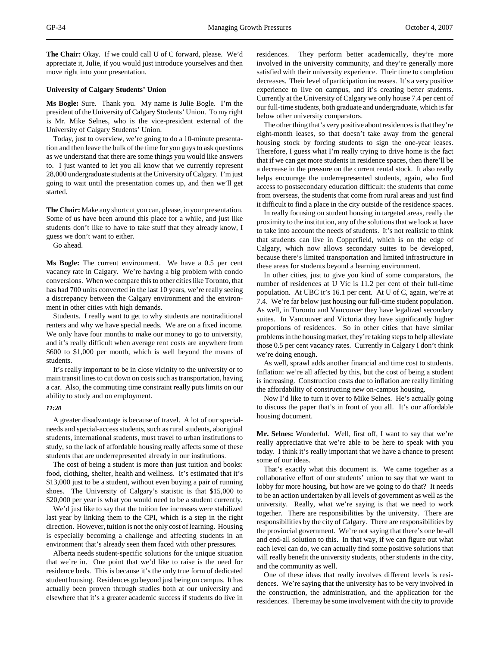**The Chair:** Okay. If we could call U of C forward, please. We'd appreciate it, Julie, if you would just introduce yourselves and then move right into your presentation.

## **University of Calgary Students' Union**

**Ms Bogle:** Sure. Thank you. My name is Julie Bogle. I'm the president of the University of Calgary Students' Union. To my right is Mr. Mike Selnes, who is the vice-president external of the University of Calgary Students' Union.

Today, just to overview, we're going to do a 10-minute presentation and then leave the bulk of the time for you guys to ask questions as we understand that there are some things you would like answers to. I just wanted to let you all know that we currently represent 28,000 undergraduate students at the University of Calgary. I'm just going to wait until the presentation comes up, and then we'll get started.

**The Chair:** Make any shortcut you can, please, in your presentation. Some of us have been around this place for a while, and just like students don't like to have to take stuff that they already know, I guess we don't want to either.

Go ahead.

**Ms Bogle:** The current environment. We have a 0.5 per cent vacancy rate in Calgary. We're having a big problem with condo conversions. When we compare this to other cities like Toronto, that has had 700 units converted in the last 10 years, we're really seeing a discrepancy between the Calgary environment and the environment in other cities with high demands.

Students. I really want to get to why students are nontraditional renters and why we have special needs. We are on a fixed income. We only have four months to make our money to go to university, and it's really difficult when average rent costs are anywhere from \$600 to \$1,000 per month, which is well beyond the means of students.

It's really important to be in close vicinity to the university or to main transit lines to cut down on costs such as transportation, having a car. Also, the commuting time constraint really puts limits on our ability to study and on employment.

#### *11:20*

A greater disadvantage is because of travel. A lot of our specialneeds and special-access students, such as rural students, aboriginal students, international students, must travel to urban institutions to study, so the lack of affordable housing really affects some of these students that are underrepresented already in our institutions.

The cost of being a student is more than just tuition and books: food, clothing, shelter, health and wellness. It's estimated that it's \$13,000 just to be a student, without even buying a pair of running shoes. The University of Calgary's statistic is that \$15,000 to \$20,000 per year is what you would need to be a student currently.

We'd just like to say that the tuition fee increases were stabilized last year by linking them to the CPI, which is a step in the right direction. However, tuition is not the only cost of learning. Housing is especially becoming a challenge and affecting students in an environment that's already seen them faced with other pressures.

Alberta needs student-specific solutions for the unique situation that we're in. One point that we'd like to raise is the need for residence beds. This is because it's the only true form of dedicated student housing. Residences go beyond just being on campus. It has actually been proven through studies both at our university and elsewhere that it's a greater academic success if students do live in

residences. They perform better academically, they're more involved in the university community, and they're generally more satisfied with their university experience. Their time to completion decreases. Their level of participation increases. It's a very positive experience to live on campus, and it's creating better students. Currently at the University of Calgary we only house 7.4 per cent of our full-time students, both graduate and undergraduate, which is far below other university comparators.

The other thing that's very positive about residences is that they're eight-month leases, so that doesn't take away from the general housing stock by forcing students to sign the one-year leases. Therefore, I guess what I'm really trying to drive home is the fact that if we can get more students in residence spaces, then there'll be a decrease in the pressure on the current rental stock. It also really helps encourage the underrepresented students, again, who find access to postsecondary education difficult: the students that come from overseas, the students that come from rural areas and just find it difficult to find a place in the city outside of the residence spaces.

In really focusing on student housing in targeted areas, really the proximity to the institution, any of the solutions that we look at have to take into account the needs of students. It's not realistic to think that students can live in Copperfield, which is on the edge of Calgary, which now allows secondary suites to be developed, because there's limited transportation and limited infrastructure in these areas for students beyond a learning environment.

In other cities, just to give you kind of some comparators, the number of residences at U Vic is 11.2 per cent of their full-time population. At UBC it's 16.1 per cent. At U of C, again, we're at 7.4. We're far below just housing our full-time student population. As well, in Toronto and Vancouver they have legalized secondary suites. In Vancouver and Victoria they have significantly higher proportions of residences. So in other cities that have similar problems in the housing market, they're taking steps to help alleviate those 0.5 per cent vacancy rates. Currently in Calgary I don't think we're doing enough.

As well, sprawl adds another financial and time cost to students. Inflation: we're all affected by this, but the cost of being a student is increasing. Construction costs due to inflation are really limiting the affordability of constructing new on-campus housing.

Now I'd like to turn it over to Mike Selnes. He's actually going to discuss the paper that's in front of you all. It's our affordable housing document.

**Mr. Selnes:** Wonderful. Well, first off, I want to say that we're really appreciative that we're able to be here to speak with you today. I think it's really important that we have a chance to present some of our ideas.

That's exactly what this document is. We came together as a collaborative effort of our students' union to say that we want to lobby for more housing, but how are we going to do that? It needs to be an action undertaken by all levels of government as well as the university. Really, what we're saying is that we need to work together. There are responsibilities by the university. There are responsibilities by the city of Calgary. There are responsibilities by the provincial government. We're not saying that there's one be-all and end-all solution to this. In that way, if we can figure out what each level can do, we can actually find some positive solutions that will really benefit the university students, other students in the city, and the community as well.

One of these ideas that really involves different levels is residences. We're saying that the university has to be very involved in the construction, the administration, and the application for the residences. There may be some involvement with the city to provide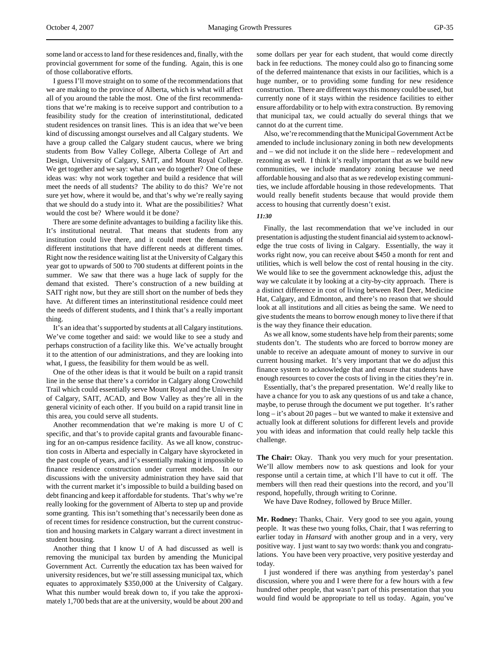some land or access to land for these residences and, finally, with the provincial government for some of the funding. Again, this is one of those collaborative efforts.

I guess I'll move straight on to some of the recommendations that we are making to the province of Alberta, which is what will affect all of you around the table the most. One of the first recommendations that we're making is to receive support and contribution to a feasibility study for the creation of interinstitutional, dedicated student residences on transit lines. This is an idea that we've been kind of discussing amongst ourselves and all Calgary students. We have a group called the Calgary student caucus, where we bring students from Bow Valley College, Alberta College of Art and Design, University of Calgary, SAIT, and Mount Royal College. We get together and we say: what can we do together? One of these ideas was: why not work together and build a residence that will meet the needs of all students? The ability to do this? We're not sure yet how, where it would be, and that's why we're really saying that we should do a study into it. What are the possibilities? What would the cost be? Where would it be done?

There are some definite advantages to building a facility like this. It's institutional neutral. That means that students from any institution could live there, and it could meet the demands of different institutions that have different needs at different times. Right now the residence waiting list at the University of Calgary this year got to upwards of 500 to 700 students at different points in the summer. We saw that there was a huge lack of supply for the demand that existed. There's construction of a new building at SAIT right now, but they are still short on the number of beds they have. At different times an interinstitutional residence could meet the needs of different students, and I think that's a really important thing.

It's an idea that's supported by students at all Calgary institutions. We've come together and said: we would like to see a study and perhaps construction of a facility like this. We've actually brought it to the attention of our administrations, and they are looking into what, I guess, the feasibility for them would be as well.

One of the other ideas is that it would be built on a rapid transit line in the sense that there's a corridor in Calgary along Crowchild Trail which could essentially serve Mount Royal and the University of Calgary, SAIT, ACAD, and Bow Valley as they're all in the general vicinity of each other. If you build on a rapid transit line in this area, you could serve all students.

Another recommendation that we're making is more U of C specific, and that's to provide capital grants and favourable financing for an on-campus residence facility. As we all know, construction costs in Alberta and especially in Calgary have skyrocketed in the past couple of years, and it's essentially making it impossible to finance residence construction under current models. In our discussions with the university administration they have said that with the current market it's impossible to build a building based on debt financing and keep it affordable for students. That's why we're really looking for the government of Alberta to step up and provide some granting. This isn't something that's necessarily been done as of recent times for residence construction, but the current construction and housing markets in Calgary warrant a direct investment in student housing.

Another thing that I know U of A had discussed as well is removing the municipal tax burden by amending the Municipal Government Act. Currently the education tax has been waived for university residences, but we're still assessing municipal tax, which equates to approximately \$350,000 at the University of Calgary. What this number would break down to, if you take the approximately 1,700 beds that are at the university, would be about 200 and

some dollars per year for each student, that would come directly back in fee reductions. The money could also go to financing some of the deferred maintenance that exists in our facilities, which is a huge number, or to providing some funding for new residence construction. There are different ways this money could be used, but currently none of it stays within the residence facilities to either ensure affordability or to help with extra construction. By removing that municipal tax, we could actually do several things that we cannot do at the current time.

Also, we're recommending that the Municipal Government Act be amended to include inclusionary zoning in both new developments and – we did not include it on the slide here – redevelopment and rezoning as well. I think it's really important that as we build new communities, we include mandatory zoning because we need affordable housing and also that as we redevelop existing communities, we include affordable housing in those redevelopments. That would really benefit students because that would provide them access to housing that currently doesn't exist.

# *11:30*

Finally, the last recommendation that we've included in our presentation is adjusting the student financial aid system to acknowledge the true costs of living in Calgary. Essentially, the way it works right now, you can receive about \$450 a month for rent and utilities, which is well below the cost of rental housing in the city. We would like to see the government acknowledge this, adjust the way we calculate it by looking at a city-by-city approach. There is a distinct difference in cost of living between Red Deer, Medicine Hat, Calgary, and Edmonton, and there's no reason that we should look at all institutions and all cities as being the same. We need to give students the means to borrow enough money to live there if that is the way they finance their education.

As we all know, some students have help from their parents; some students don't. The students who are forced to borrow money are unable to receive an adequate amount of money to survive in our current housing market. It's very important that we do adjust this finance system to acknowledge that and ensure that students have enough resources to cover the costs of living in the cities they're in.

Essentially, that's the prepared presentation. We'd really like to have a chance for you to ask any questions of us and take a chance, maybe, to peruse through the document we put together. It's rather long – it's about 20 pages – but we wanted to make it extensive and actually look at different solutions for different levels and provide you with ideas and information that could really help tackle this challenge.

**The Chair:** Okay. Thank you very much for your presentation. We'll allow members now to ask questions and look for your response until a certain time, at which I'll have to cut it off. The members will then read their questions into the record, and you'll respond, hopefully, through writing to Corinne.

We have Dave Rodney, followed by Bruce Miller.

**Mr. Rodney:** Thanks, Chair. Very good to see you again, young people. It was these two young folks, Chair, that I was referring to earlier today in *Hansard* with another group and in a very, very positive way. I just want to say two words: thank you and congratulations. You have been very proactive, very positive yesterday and today.

I just wondered if there was anything from yesterday's panel discussion, where you and I were there for a few hours with a few hundred other people, that wasn't part of this presentation that you would find would be appropriate to tell us today. Again, you've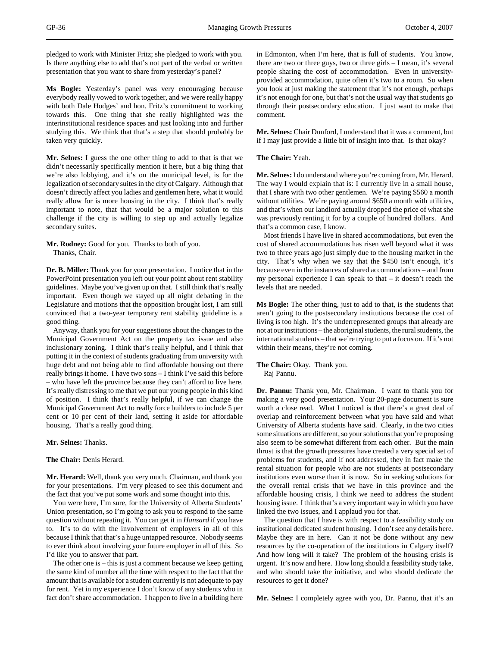pledged to work with Minister Fritz; she pledged to work with you. Is there anything else to add that's not part of the verbal or written presentation that you want to share from yesterday's panel?

**Ms Bogle:** Yesterday's panel was very encouraging because everybody really vowed to work together, and we were really happy with both Dale Hodges' and hon. Fritz's commitment to working towards this. One thing that she really highlighted was the interinstitutional residence spaces and just looking into and further studying this. We think that that's a step that should probably be taken very quickly.

**Mr. Selnes:** I guess the one other thing to add to that is that we didn't necessarily specifically mention it here, but a big thing that we're also lobbying, and it's on the municipal level, is for the legalization of secondary suites in the city of Calgary. Although that doesn't directly affect you ladies and gentlemen here, what it would really allow for is more housing in the city. I think that's really important to note, that that would be a major solution to this challenge if the city is willing to step up and actually legalize secondary suites.

**Mr. Rodney:** Good for you. Thanks to both of you. Thanks, Chair.

**Dr. B. Miller:** Thank you for your presentation. I notice that in the PowerPoint presentation you left out your point about rent stability guidelines. Maybe you've given up on that. I still think that's really important. Even though we stayed up all night debating in the Legislature and motions that the opposition brought lost, I am still convinced that a two-year temporary rent stability guideline is a good thing.

Anyway, thank you for your suggestions about the changes to the Municipal Government Act on the property tax issue and also inclusionary zoning. I think that's really helpful, and I think that putting it in the context of students graduating from university with huge debt and not being able to find affordable housing out there really brings it home. I have two sons – I think I've said this before – who have left the province because they can't afford to live here. It's really distressing to me that we put our young people in this kind of position. I think that's really helpful, if we can change the Municipal Government Act to really force builders to include 5 per cent or 10 per cent of their land, setting it aside for affordable housing. That's a really good thing.

## **Mr. Selnes:** Thanks.

## **The Chair:** Denis Herard.

**Mr. Herard:** Well, thank you very much, Chairman, and thank you for your presentations. I'm very pleased to see this document and the fact that you've put some work and some thought into this.

You were here, I'm sure, for the University of Alberta Students' Union presentation, so I'm going to ask you to respond to the same question without repeating it. You can get it in *Hansard* if you have to. It's to do with the involvement of employers in all of this because I think that that's a huge untapped resource. Nobody seems to ever think about involving your future employer in all of this. So I'd like you to answer that part.

The other one is – this is just a comment because we keep getting the same kind of number all the time with respect to the fact that the amount that is available for a student currently is not adequate to pay for rent. Yet in my experience I don't know of any students who in fact don't share accommodation. I happen to live in a building here in Edmonton, when I'm here, that is full of students. You know, there are two or three guys, two or three girls – I mean, it's several people sharing the cost of accommodation. Even in universityprovided accommodation, quite often it's two to a room. So when you look at just making the statement that it's not enough, perhaps it's not enough for one, but that's not the usual way that students go through their postsecondary education. I just want to make that comment.

**Mr. Selnes:** Chair Dunford, I understand that it was a comment, but if I may just provide a little bit of insight into that. Is that okay?

**The Chair:** Yeah.

**Mr. Selnes:** I do understand where you're coming from, Mr. Herard. The way I would explain that is: I currently live in a small house, that I share with two other gentlemen. We're paying \$560 a month without utilities. We're paying around \$650 a month with utilities, and that's when our landlord actually dropped the price of what she was previously renting it for by a couple of hundred dollars. And that's a common case, I know.

Most friends I have live in shared accommodations, but even the cost of shared accommodations has risen well beyond what it was two to three years ago just simply due to the housing market in the city. That's why when we say that the \$450 isn't enough, it's because even in the instances of shared accommodations – and from my personal experience I can speak to that – it doesn't reach the levels that are needed.

**Ms Bogle:** The other thing, just to add to that, is the students that aren't going to the postsecondary institutions because the cost of living is too high. It's the underrepresented groups that already are not at our institutions – the aboriginal students, the rural students, the international students – that we're trying to put a focus on. If it's not within their means, they're not coming.

**The Chair:** Okay. Thank you. Raj Pannu.

**Dr. Pannu:** Thank you, Mr. Chairman. I want to thank you for making a very good presentation. Your 20-page document is sure worth a close read. What I noticed is that there's a great deal of overlap and reinforcement between what you have said and what University of Alberta students have said. Clearly, in the two cities some situations are different, so your solutions that you're proposing also seem to be somewhat different from each other. But the main thrust is that the growth pressures have created a very special set of problems for students, and if not addressed, they in fact make the rental situation for people who are not students at postsecondary institutions even worse than it is now. So in seeking solutions for the overall rental crisis that we have in this province and the affordable housing crisis, I think we need to address the student housing issue. I think that's a very important way in which you have linked the two issues, and I applaud you for that.

The question that I have is with respect to a feasibility study on institutional dedicated student housing. I don't see any details here. Maybe they are in here. Can it not be done without any new resources by the co-operation of the institutions in Calgary itself? And how long will it take? The problem of the housing crisis is urgent. It's now and here. How long should a feasibility study take, and who should take the initiative, and who should dedicate the resources to get it done?

**Mr. Selnes:** I completely agree with you, Dr. Pannu, that it's an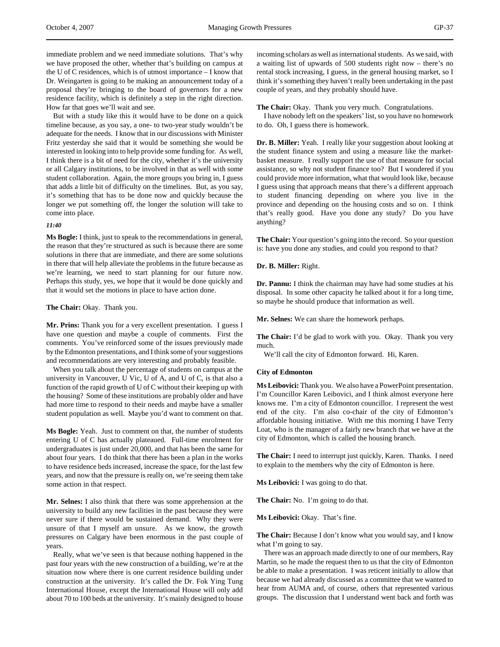immediate problem and we need immediate solutions. That's why we have proposed the other, whether that's building on campus at the U of C residences, which is of utmost importance – I know that Dr. Weingarten is going to be making an announcement today of a proposal they're bringing to the board of governors for a new residence facility, which is definitely a step in the right direction. How far that goes we'll wait and see.

But with a study like this it would have to be done on a quick timeline because, as you say, a one- to two-year study wouldn't be adequate for the needs. I know that in our discussions with Minister Fritz yesterday she said that it would be something she would be interested in looking into to help provide some funding for. As well, I think there is a bit of need for the city, whether it's the university or all Calgary institutions, to be involved in that as well with some student collaboration. Again, the more groups you bring in, I guess that adds a little bit of difficulty on the timelines. But, as you say, it's something that has to be done now and quickly because the longer we put something off, the longer the solution will take to come into place.

## *11:40*

**Ms Bogle:** I think, just to speak to the recommendations in general, the reason that they're structured as such is because there are some solutions in there that are immediate, and there are some solutions in there that will help alleviate the problems in the future because as we're learning, we need to start planning for our future now. Perhaps this study, yes, we hope that it would be done quickly and that it would set the motions in place to have action done.

### **The Chair:** Okay. Thank you.

**Mr. Prins:** Thank you for a very excellent presentation. I guess I have one question and maybe a couple of comments. First the comments. You've reinforced some of the issues previously made by the Edmonton presentations, and I think some of your suggestions and recommendations are very interesting and probably feasible.

When you talk about the percentage of students on campus at the university in Vancouver, U Vic, U of A, and U of C, is that also a function of the rapid growth of U of C without their keeping up with the housing? Some of these institutions are probably older and have had more time to respond to their needs and maybe have a smaller student population as well. Maybe you'd want to comment on that.

**Ms Bogle:** Yeah. Just to comment on that, the number of students entering U of C has actually plateaued. Full-time enrolment for undergraduates is just under 20,000, and that has been the same for about four years. I do think that there has been a plan in the works to have residence beds increased, increase the space, for the last few years, and now that the pressure is really on, we're seeing them take some action in that respect.

**Mr. Selnes:** I also think that there was some apprehension at the university to build any new facilities in the past because they were never sure if there would be sustained demand. Why they were unsure of that I myself am unsure. As we know, the growth pressures on Calgary have been enormous in the past couple of years.

Really, what we've seen is that because nothing happened in the past four years with the new construction of a building, we're at the situation now where there is one current residence building under construction at the university. It's called the Dr. Fok Ying Tung International House, except the International House will only add about 70 to 100 beds at the university. It's mainly designed to house

incoming scholars as well as international students. As we said, with a waiting list of upwards of 500 students right now – there's no rental stock increasing, I guess, in the general housing market, so I think it's something they haven't really been undertaking in the past couple of years, and they probably should have.

## **The Chair:** Okay. Thank you very much. Congratulations.

I have nobody left on the speakers' list, so you have no homework to do. Oh, I guess there is homework.

**Dr. B. Miller:** Yeah. I really like your suggestion about looking at the student finance system and using a measure like the marketbasket measure. I really support the use of that measure for social assistance, so why not student finance too? But I wondered if you could provide more information, what that would look like, because I guess using that approach means that there's a different approach to student financing depending on where you live in the province and depending on the housing costs and so on. I think that's really good. Have you done any study? Do you have anything?

**The Chair:** Your question's going into the record. So your question is: have you done any studies, and could you respond to that?

# **Dr. B. Miller:** Right.

**Dr. Pannu:** I think the chairman may have had some studies at his disposal. In some other capacity he talked about it for a long time, so maybe he should produce that information as well.

**Mr. Selnes:** We can share the homework perhaps.

**The Chair:** I'd be glad to work with you. Okay. Thank you very much.

We'll call the city of Edmonton forward. Hi, Karen.

# **City of Edmonton**

**Ms Leibovici:** Thank you. We also have a PowerPoint presentation. I'm Councillor Karen Leibovici, and I think almost everyone here knows me. I'm a city of Edmonton councillor. I represent the west end of the city. I'm also co-chair of the city of Edmonton's affordable housing initiative. With me this morning I have Terry Loat, who is the manager of a fairly new branch that we have at the city of Edmonton, which is called the housing branch.

**The Chair:** I need to interrupt just quickly, Karen. Thanks. I need to explain to the members why the city of Edmonton is here.

**Ms Leibovici:** I was going to do that.

**The Chair:** No. I'm going to do that.

**Ms Leibovici:** Okay. That's fine.

**The Chair:** Because I don't know what you would say, and I know what I'm going to say.

There was an approach made directly to one of our members, Ray Martin, so he made the request then to us that the city of Edmonton be able to make a presentation. I was reticent initially to allow that because we had already discussed as a committee that we wanted to hear from AUMA and, of course, others that represented various groups. The discussion that I understand went back and forth was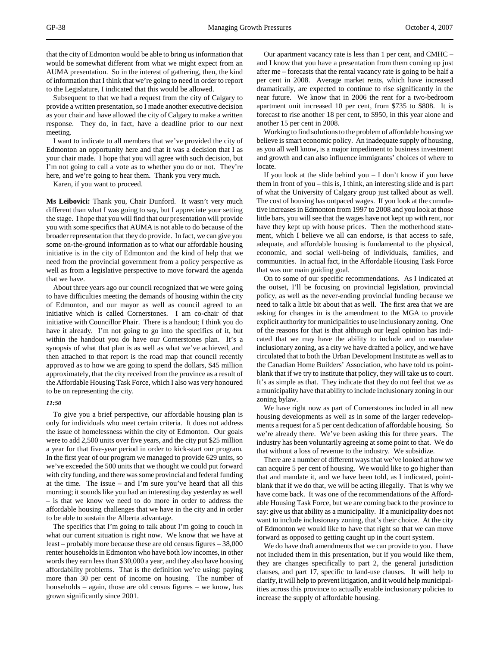that the city of Edmonton would be able to bring us information that would be somewhat different from what we might expect from an AUMA presentation. So in the interest of gathering, then, the kind of information that I think that we're going to need in order to report to the Legislature, I indicated that this would be allowed.

Subsequent to that we had a request from the city of Calgary to provide a written presentation, so I made another executive decision as your chair and have allowed the city of Calgary to make a written response. They do, in fact, have a deadline prior to our next meeting.

I want to indicate to all members that we've provided the city of Edmonton an opportunity here and that it was a decision that I as your chair made. I hope that you will agree with such decision, but I'm not going to call a vote as to whether you do or not. They're here, and we're going to hear them. Thank you very much.

Karen, if you want to proceed.

**Ms Leibovici:** Thank you, Chair Dunford. It wasn't very much different than what I was going to say, but I appreciate your setting the stage. I hope that you will find that our presentation will provide you with some specifics that AUMA is not able to do because of the broader representation that they do provide. In fact, we can give you some on-the-ground information as to what our affordable housing initiative is in the city of Edmonton and the kind of help that we need from the provincial government from a policy perspective as well as from a legislative perspective to move forward the agenda that we have.

About three years ago our council recognized that we were going to have difficulties meeting the demands of housing within the city of Edmonton, and our mayor as well as council agreed to an initiative which is called Cornerstones. I am co-chair of that initiative with Councillor Phair. There is a handout; I think you do have it already. I'm not going to go into the specifics of it, but within the handout you do have our Cornerstones plan. It's a synopsis of what that plan is as well as what we've achieved, and then attached to that report is the road map that council recently approved as to how we are going to spend the dollars, \$45 million approximately, that the city received from the province as a result of the Affordable Housing Task Force, which I also was very honoured to be on representing the city.

# *11:50*

To give you a brief perspective, our affordable housing plan is only for individuals who meet certain criteria. It does not address the issue of homelessness within the city of Edmonton. Our goals were to add 2,500 units over five years, and the city put \$25 million a year for that five-year period in order to kick-start our program. In the first year of our program we managed to provide 629 units, so we've exceeded the 500 units that we thought we could put forward with city funding, and there was some provincial and federal funding at the time. The issue – and I'm sure you've heard that all this morning; it sounds like you had an interesting day yesterday as well – is that we know we need to do more in order to address the affordable housing challenges that we have in the city and in order to be able to sustain the Alberta advantage.

The specifics that I'm going to talk about I'm going to couch in what our current situation is right now. We know that we have at least – probably more because these are old census figures – 38,000 renter households in Edmonton who have both low incomes, in other words they earn less than \$30,000 a year, and they also have housing affordability problems. That is the definition we're using: paying more than 30 per cent of income on housing. The number of households – again, those are old census figures – we know, has grown significantly since 2001.

Our apartment vacancy rate is less than 1 per cent, and CMHC – and I know that you have a presentation from them coming up just after me – forecasts that the rental vacancy rate is going to be half a per cent in 2008. Average market rents, which have increased dramatically, are expected to continue to rise significantly in the near future. We know that in 2006 the rent for a two-bedroom apartment unit increased 10 per cent, from \$735 to \$808. It is forecast to rise another 18 per cent, to \$950, in this year alone and another 15 per cent in 2008.

Working to find solutions to the problem of affordable housing we believe is smart economic policy. An inadequate supply of housing, as you all well know, is a major impediment to business investment and growth and can also influence immigrants' choices of where to locate.

If you look at the slide behind you – I don't know if you have them in front of you – this is, I think, an interesting slide and is part of what the University of Calgary group just talked about as well. The cost of housing has outpaced wages. If you look at the cumulative increases in Edmonton from 1997 to 2008 and you look at those little bars, you will see that the wages have not kept up with rent, nor have they kept up with house prices. Then the motherhood statement, which I believe we all can endorse, is that access to safe, adequate, and affordable housing is fundamental to the physical, economic, and social well-being of individuals, families, and communities. In actual fact, in the Affordable Housing Task Force that was our main guiding goal.

On to some of our specific recommendations. As I indicated at the outset, I'll be focusing on provincial legislation, provincial policy, as well as the never-ending provincial funding because we need to talk a little bit about that as well. The first area that we are asking for changes in is the amendment to the MGA to provide explicit authority for municipalities to use inclusionary zoning. One of the reasons for that is that although our legal opinion has indicated that we may have the ability to include and to mandate inclusionary zoning, as a city we have drafted a policy, and we have circulated that to both the Urban Development Institute as well as to the Canadian Home Builders' Association, who have told us pointblank that if we try to institute that policy, they will take us to court. It's as simple as that. They indicate that they do not feel that we as a municipality have that ability to include inclusionary zoning in our zoning bylaw.

We have right now as part of Cornerstones included in all new housing developments as well as in some of the larger redevelopments a request for a 5 per cent dedication of affordable housing. So we're already there. We've been asking this for three years. The industry has been voluntarily agreeing at some point to that. We do that without a loss of revenue to the industry. We subsidize.

There are a number of different ways that we've looked at how we can acquire 5 per cent of housing. We would like to go higher than that and mandate it, and we have been told, as I indicated, pointblank that if we do that, we will be acting illegally. That is why we have come back. It was one of the recommendations of the Affordable Housing Task Force, but we are coming back to the province to say: give us that ability as a municipality. If a municipality does not want to include inclusionary zoning, that's their choice. At the city of Edmonton we would like to have that right so that we can move forward as opposed to getting caught up in the court system.

We do have draft amendments that we can provide to you. I have not included them in this presentation, but if you would like them, they are changes specifically to part 2, the general jurisdiction clauses, and part 17, specific to land-use clauses. It will help to clarify, it will help to prevent litigation, and it would help municipalities across this province to actually enable inclusionary policies to increase the supply of affordable housing.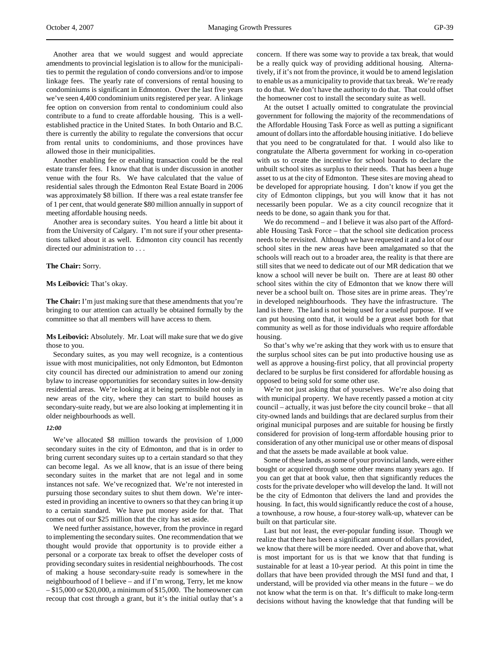Another area that we would suggest and would appreciate amendments to provincial legislation is to allow for the municipalities to permit the regulation of condo conversions and/or to impose linkage fees. The yearly rate of conversions of rental housing to condominiums is significant in Edmonton. Over the last five years we've seen 4,400 condominium units registered per year. A linkage fee option on conversion from rental to condominium could also contribute to a fund to create affordable housing. This is a wellestablished practice in the United States. In both Ontario and B.C. there is currently the ability to regulate the conversions that occur from rental units to condominiums, and those provinces have

Another enabling fee or enabling transaction could be the real estate transfer fees. I know that that is under discussion in another venue with the four Rs. We have calculated that the value of residential sales through the Edmonton Real Estate Board in 2006 was approximately \$8 billion. If there was a real estate transfer fee of 1 per cent, that would generate \$80 million annually in support of meeting affordable housing needs.

Another area is secondary suites. You heard a little bit about it from the University of Calgary. I'm not sure if your other presentations talked about it as well. Edmonton city council has recently directed our administration to . . .

## **The Chair:** Sorry.

#### **Ms Leibovici:** That's okay.

allowed those in their municipalities.

**The Chair:** I'm just making sure that these amendments that you're bringing to our attention can actually be obtained formally by the committee so that all members will have access to them.

**Ms Leibovici:** Absolutely. Mr. Loat will make sure that we do give those to you.

Secondary suites, as you may well recognize, is a contentious issue with most municipalities, not only Edmonton, but Edmonton city council has directed our administration to amend our zoning bylaw to increase opportunities for secondary suites in low-density residential areas. We're looking at it being permissible not only in new areas of the city, where they can start to build houses as secondary-suite ready, but we are also looking at implementing it in older neighbourhoods as well.

#### *12:00*

We've allocated \$8 million towards the provision of 1,000 secondary suites in the city of Edmonton, and that is in order to bring current secondary suites up to a certain standard so that they can become legal. As we all know, that is an issue of there being secondary suites in the market that are not legal and in some instances not safe. We've recognized that. We're not interested in pursuing those secondary suites to shut them down. We're interested in providing an incentive to owners so that they can bring it up to a certain standard. We have put money aside for that. That comes out of our \$25 million that the city has set aside.

We need further assistance, however, from the province in regard to implementing the secondary suites. One recommendation that we thought would provide that opportunity is to provide either a personal or a corporate tax break to offset the developer costs of providing secondary suites in residential neighbourhoods. The cost of making a house secondary-suite ready is somewhere in the neighbourhood of I believe – and if I'm wrong, Terry, let me know – \$15,000 or \$20,000, a minimum of \$15,000. The homeowner can recoup that cost through a grant, but it's the initial outlay that's a concern. If there was some way to provide a tax break, that would be a really quick way of providing additional housing. Alternatively, if it's not from the province, it would be to amend legislation to enable us as a municipality to provide that tax break. We're ready to do that. We don't have the authority to do that. That could offset the homeowner cost to install the secondary suite as well.

At the outset I actually omitted to congratulate the provincial government for following the majority of the recommendations of the Affordable Housing Task Force as well as putting a significant amount of dollars into the affordable housing initiative. I do believe that you need to be congratulated for that. I would also like to congratulate the Alberta government for working in co-operation with us to create the incentive for school boards to declare the unbuilt school sites as surplus to their needs. That has been a huge asset to us at the city of Edmonton. These sites are moving ahead to be developed for appropriate housing. I don't know if you get the city of Edmonton clippings, but you will know that it has not necessarily been popular. We as a city council recognize that it needs to be done, so again thank you for that.

We do recommend – and I believe it was also part of the Affordable Housing Task Force – that the school site dedication process needs to be revisited. Although we have requested it and a lot of our school sites in the new areas have been amalgamated so that the schools will reach out to a broader area, the reality is that there are still sites that we need to dedicate out of our MR dedication that we know a school will never be built on. There are at least 80 other school sites within the city of Edmonton that we know there will never be a school built on. Those sites are in prime areas. They're in developed neighbourhoods. They have the infrastructure. The land is there. The land is not being used for a useful purpose. If we can put housing onto that, it would be a great asset both for that community as well as for those individuals who require affordable housing.

So that's why we're asking that they work with us to ensure that the surplus school sites can be put into productive housing use as well as approve a housing-first policy, that all provincial property declared to be surplus be first considered for affordable housing as opposed to being sold for some other use.

We're not just asking that of yourselves. We're also doing that with municipal property. We have recently passed a motion at city council – actually, it was just before the city council broke – that all city-owned lands and buildings that are declared surplus from their original municipal purposes and are suitable for housing be firstly considered for provision of long-term affordable housing prior to consideration of any other municipal use or other means of disposal and that the assets be made available at book value.

Some of these lands, as some of your provincial lands, were either bought or acquired through some other means many years ago. If you can get that at book value, then that significantly reduces the costs for the private developer who will develop the land. It will not be the city of Edmonton that delivers the land and provides the housing. In fact, this would significantly reduce the cost of a house, a townhouse, a row house, a four-storey walk-up, whatever can be built on that particular site.

Last but not least, the ever-popular funding issue. Though we realize that there has been a significant amount of dollars provided, we know that there will be more needed. Over and above that, what is most important for us is that we know that that funding is sustainable for at least a 10-year period. At this point in time the dollars that have been provided through the MSI fund and that, I understand, will be provided via other means in the future – we do not know what the term is on that. It's difficult to make long-term decisions without having the knowledge that that funding will be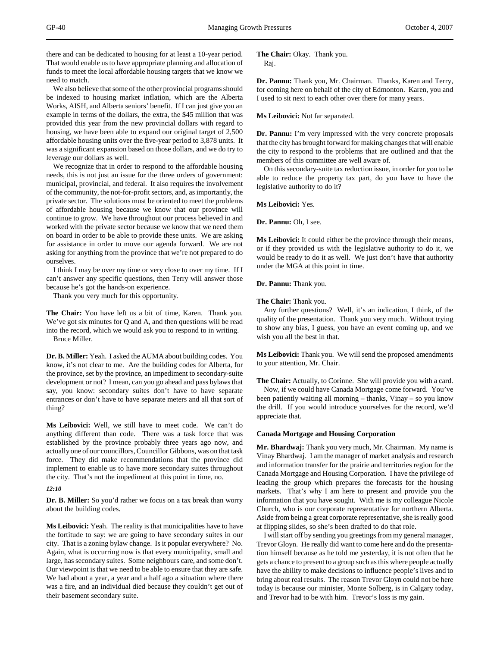there and can be dedicated to housing for at least a 10-year period. That would enable us to have appropriate planning and allocation of funds to meet the local affordable housing targets that we know we need to match.

We also believe that some of the other provincial programs should be indexed to housing market inflation, which are the Alberta Works, AISH, and Alberta seniors' benefit. If I can just give you an example in terms of the dollars, the extra, the \$45 million that was provided this year from the new provincial dollars with regard to housing, we have been able to expand our original target of 2,500 affordable housing units over the five-year period to 3,878 units. It was a significant expansion based on those dollars, and we do try to leverage our dollars as well.

We recognize that in order to respond to the affordable housing needs, this is not just an issue for the three orders of government: municipal, provincial, and federal. It also requires the involvement of the community, the not-for-profit sectors, and, as importantly, the private sector. The solutions must be oriented to meet the problems of affordable housing because we know that our province will continue to grow. We have throughout our process believed in and worked with the private sector because we know that we need them on board in order to be able to provide these units. We are asking for assistance in order to move our agenda forward. We are not asking for anything from the province that we're not prepared to do ourselves.

I think I may be over my time or very close to over my time. If I can't answer any specific questions, then Terry will answer those because he's got the hands-on experience.

Thank you very much for this opportunity.

**The Chair:** You have left us a bit of time, Karen. Thank you. We've got six minutes for Q and A, and then questions will be read into the record, which we would ask you to respond to in writing. Bruce Miller.

**Dr. B. Miller:** Yeah. I asked the AUMA about building codes. You know, it's not clear to me. Are the building codes for Alberta, for the province, set by the province, an impediment to secondary-suite development or not? I mean, can you go ahead and pass bylaws that say, you know: secondary suites don't have to have separate entrances or don't have to have separate meters and all that sort of thing?

**Ms Leibovici:** Well, we still have to meet code. We can't do anything different than code. There was a task force that was established by the province probably three years ago now, and actually one of our councillors, Councillor Gibbons, was on that task force. They did make recommendations that the province did implement to enable us to have more secondary suites throughout the city. That's not the impediment at this point in time, no.

# *12:10*

**Dr. B. Miller:** So you'd rather we focus on a tax break than worry about the building codes.

**Ms Leibovici:** Yeah. The reality is that municipalities have to have the fortitude to say: we are going to have secondary suites in our city. That is a zoning bylaw change. Is it popular everywhere? No. Again, what is occurring now is that every municipality, small and large, has secondary suites. Some neighbours care, and some don't. Our viewpoint is that we need to be able to ensure that they are safe. We had about a year, a year and a half ago a situation where there was a fire, and an individual died because they couldn't get out of their basement secondary suite.

**The Chair:** Okay. Thank you. Raj.

**Dr. Pannu:** Thank you, Mr. Chairman. Thanks, Karen and Terry, for coming here on behalf of the city of Edmonton. Karen, you and I used to sit next to each other over there for many years.

**Ms Leibovici:** Not far separated.

**Dr. Pannu:** I'm very impressed with the very concrete proposals that the city has brought forward for making changes that will enable the city to respond to the problems that are outlined and that the members of this committee are well aware of.

On this secondary-suite tax reduction issue, in order for you to be able to reduce the property tax part, do you have to have the legislative authority to do it?

**Ms Leibovici:** Yes.

**Dr. Pannu:** Oh, I see.

**Ms Leibovici:** It could either be the province through their means, or if they provided us with the legislative authority to do it, we would be ready to do it as well. We just don't have that authority under the MGA at this point in time.

**Dr. Pannu:** Thank you.

**The Chair:** Thank you.

Any further questions? Well, it's an indication, I think, of the quality of the presentation. Thank you very much. Without trying to show any bias, I guess, you have an event coming up, and we wish you all the best in that.

**Ms Leibovici:** Thank you. We will send the proposed amendments to your attention, Mr. Chair.

**The Chair:** Actually, to Corinne. She will provide you with a card. Now, if we could have Canada Mortgage come forward. You've been patiently waiting all morning – thanks, Vinay – so you know the drill. If you would introduce yourselves for the record, we'd appreciate that.

## **Canada Mortgage and Housing Corporation**

**Mr. Bhardwaj:** Thank you very much, Mr. Chairman. My name is Vinay Bhardwaj. I am the manager of market analysis and research and information transfer for the prairie and territories region for the Canada Mortgage and Housing Corporation. I have the privilege of leading the group which prepares the forecasts for the housing markets. That's why I am here to present and provide you the information that you have sought. With me is my colleague Nicole Church, who is our corporate representative for northern Alberta. Aside from being a great corporate representative, she is really good at flipping slides, so she's been drafted to do that role.

I will start off by sending you greetings from my general manager, Trevor Gloyn. He really did want to come here and do the presentation himself because as he told me yesterday, it is not often that he gets a chance to present to a group such as this where people actually have the ability to make decisions to influence people's lives and to bring about real results. The reason Trevor Gloyn could not be here today is because our minister, Monte Solberg, is in Calgary today, and Trevor had to be with him. Trevor's loss is my gain.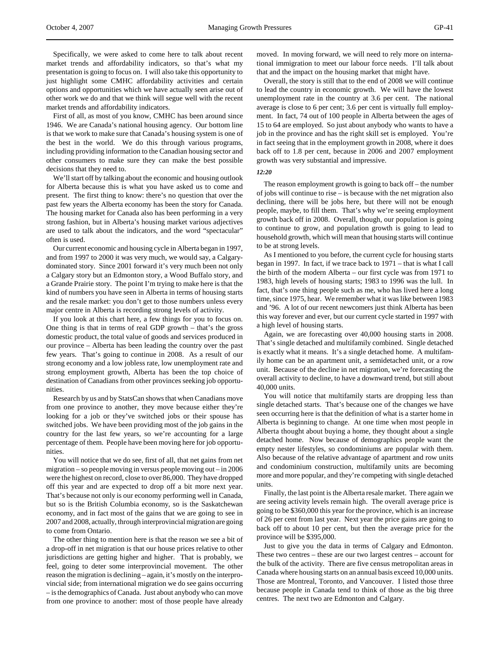Specifically, we were asked to come here to talk about recent market trends and affordability indicators, so that's what my presentation is going to focus on. I will also take this opportunity to just highlight some CMHC affordability activities and certain options and opportunities which we have actually seen arise out of other work we do and that we think will segue well with the recent market trends and affordability indicators.

First of all, as most of you know, CMHC has been around since 1946. We are Canada's national housing agency. Our bottom line is that we work to make sure that Canada's housing system is one of the best in the world. We do this through various programs, including providing information to the Canadian housing sector and other consumers to make sure they can make the best possible decisions that they need to.

We'll start off by talking about the economic and housing outlook for Alberta because this is what you have asked us to come and present. The first thing to know: there's no question that over the past few years the Alberta economy has been the story for Canada. The housing market for Canada also has been performing in a very strong fashion, but in Alberta's housing market various adjectives are used to talk about the indicators, and the word "spectacular" often is used.

Our current economic and housing cycle in Alberta began in 1997, and from 1997 to 2000 it was very much, we would say, a Calgarydominated story. Since 2001 forward it's very much been not only a Calgary story but an Edmonton story, a Wood Buffalo story, and a Grande Prairie story. The point I'm trying to make here is that the kind of numbers you have seen in Alberta in terms of housing starts and the resale market: you don't get to those numbers unless every major centre in Alberta is recording strong levels of activity.

If you look at this chart here, a few things for you to focus on. One thing is that in terms of real GDP growth – that's the gross domestic product, the total value of goods and services produced in our province – Alberta has been leading the country over the past few years. That's going to continue in 2008. As a result of our strong economy and a low jobless rate, low unemployment rate and strong employment growth, Alberta has been the top choice of destination of Canadians from other provinces seeking job opportunities.

Research by us and by StatsCan shows that when Canadians move from one province to another, they move because either they're looking for a job or they've switched jobs or their spouse has switched jobs. We have been providing most of the job gains in the country for the last few years, so we're accounting for a large percentage of them. People have been moving here for job opportunities.

You will notice that we do see, first of all, that net gains from net migration – so people moving in versus people moving out – in 2006 were the highest on record, close to over 86,000. They have dropped off this year and are expected to drop off a bit more next year. That's because not only is our economy performing well in Canada, but so is the British Columbia economy, so is the Saskatchewan economy, and in fact most of the gains that we are going to see in 2007 and 2008, actually, through interprovincial migration are going to come from Ontario.

The other thing to mention here is that the reason we see a bit of a drop-off in net migration is that our house prices relative to other jurisdictions are getting higher and higher. That is probably, we feel, going to deter some interprovincial movement. The other reason the migration is declining – again, it's mostly on the interprovincial side; from international migration we do see gains occurring – is the demographics of Canada. Just about anybody who can move from one province to another: most of those people have already

moved. In moving forward, we will need to rely more on international immigration to meet our labour force needs. I'll talk about that and the impact on the housing market that might have.

Overall, the story is still that to the end of 2008 we will continue to lead the country in economic growth. We will have the lowest unemployment rate in the country at 3.6 per cent. The national average is close to 6 per cent; 3.6 per cent is virtually full employment. In fact, 74 out of 100 people in Alberta between the ages of 15 to 64 are employed. So just about anybody who wants to have a job in the province and has the right skill set is employed. You're in fact seeing that in the employment growth in 2008, where it does back off to 1.8 per cent, because in 2006 and 2007 employment growth was very substantial and impressive.

#### *12:20*

The reason employment growth is going to back off – the number of jobs will continue to rise – is because with the net migration also declining, there will be jobs here, but there will not be enough people, maybe, to fill them. That's why we're seeing employment growth back off in 2008. Overall, though, our population is going to continue to grow, and population growth is going to lead to household growth, which will mean that housing starts will continue to be at strong levels.

As I mentioned to you before, the current cycle for housing starts began in 1997. In fact, if we trace back to 1971 – that is what I call the birth of the modern Alberta – our first cycle was from 1971 to 1983, high levels of housing starts; 1983 to 1996 was the lull. In fact, that's one thing people such as me, who has lived here a long time, since 1975, hear. We remember what it was like between 1983 and '96. A lot of our recent newcomers just think Alberta has been this way forever and ever, but our current cycle started in 1997 with a high level of housing starts.

Again, we are forecasting over 40,000 housing starts in 2008. That's single detached and multifamily combined. Single detached is exactly what it means. It's a single detached home. A multifamily home can be an apartment unit, a semidetached unit, or a row unit. Because of the decline in net migration, we're forecasting the overall activity to decline, to have a downward trend, but still about 40,000 units.

You will notice that multifamily starts are dropping less than single detached starts. That's because one of the changes we have seen occurring here is that the definition of what is a starter home in Alberta is beginning to change. At one time when most people in Alberta thought about buying a home, they thought about a single detached home. Now because of demographics people want the empty nester lifestyles, so condominiums are popular with them. Also because of the relative advantage of apartment and row units and condominium construction, multifamily units are becoming more and more popular, and they're competing with single detached units.

Finally, the last point is the Alberta resale market. There again we are seeing activity levels remain high. The overall average price is going to be \$360,000 this year for the province, which is an increase of 26 per cent from last year. Next year the price gains are going to back off to about 10 per cent, but then the average price for the province will be \$395,000.

Just to give you the data in terms of Calgary and Edmonton. These two centres – these are our two largest centres – account for the bulk of the activity. There are five census metropolitan areas in Canada where housing starts on an annual basis exceed 10,000 units. Those are Montreal, Toronto, and Vancouver. I listed those three because people in Canada tend to think of those as the big three centres. The next two are Edmonton and Calgary.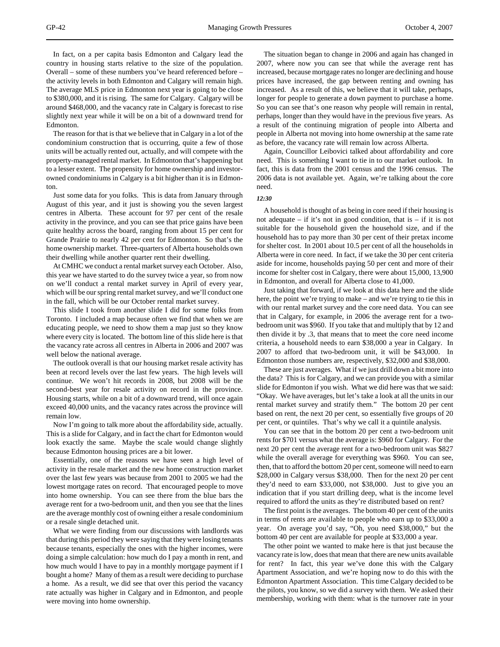In fact, on a per capita basis Edmonton and Calgary lead the country in housing starts relative to the size of the population. Overall – some of these numbers you've heard referenced before – the activity levels in both Edmonton and Calgary will remain high. The average MLS price in Edmonton next year is going to be close to \$380,000, and it is rising. The same for Calgary. Calgary will be around \$468,000, and the vacancy rate in Calgary is forecast to rise slightly next year while it will be on a bit of a downward trend for Edmonton.

The reason for that is that we believe that in Calgary in a lot of the condominium construction that is occurring, quite a few of those units will be actually rented out, actually, and will compete with the property-managed rental market. In Edmonton that's happening but to a lesser extent. The propensity for home ownership and investorowned condominiums in Calgary is a bit higher than it is in Edmonton.

Just some data for you folks. This is data from January through August of this year, and it just is showing you the seven largest centres in Alberta. These account for 97 per cent of the resale activity in the province, and you can see that price gains have been quite healthy across the board, ranging from about 15 per cent for Grande Prairie to nearly 42 per cent for Edmonton. So that's the home ownership market. Three-quarters of Alberta households own their dwelling while another quarter rent their dwelling.

At CMHC we conduct a rental market survey each October. Also, this year we have started to do the survey twice a year, so from now on we'll conduct a rental market survey in April of every year, which will be our spring rental market survey, and we'll conduct one in the fall, which will be our October rental market survey.

This slide I took from another slide I did for some folks from Toronto. I included a map because often we find that when we are educating people, we need to show them a map just so they know where every city is located. The bottom line of this slide here is that the vacancy rate across all centres in Alberta in 2006 and 2007 was well below the national average.

The outlook overall is that our housing market resale activity has been at record levels over the last few years. The high levels will continue. We won't hit records in 2008, but 2008 will be the second-best year for resale activity on record in the province. Housing starts, while on a bit of a downward trend, will once again exceed 40,000 units, and the vacancy rates across the province will remain low.

Now I'm going to talk more about the affordability side, actually. This is a slide for Calgary, and in fact the chart for Edmonton would look exactly the same. Maybe the scale would change slightly because Edmonton housing prices are a bit lower.

Essentially, one of the reasons we have seen a high level of activity in the resale market and the new home construction market over the last few years was because from 2001 to 2005 we had the lowest mortgage rates on record. That encouraged people to move into home ownership. You can see there from the blue bars the average rent for a two-bedroom unit, and then you see that the lines are the average monthly cost of owning either a resale condominium or a resale single detached unit.

What we were finding from our discussions with landlords was that during this period they were saying that they were losing tenants because tenants, especially the ones with the higher incomes, were doing a simple calculation: how much do I pay a month in rent, and how much would I have to pay in a monthly mortgage payment if I bought a home? Many of them as a result were deciding to purchase a home. As a result, we did see that over this period the vacancy rate actually was higher in Calgary and in Edmonton, and people were moving into home ownership.

The situation began to change in 2006 and again has changed in 2007, where now you can see that while the average rent has increased, because mortgage rates no longer are declining and house prices have increased, the gap between renting and owning has increased. As a result of this, we believe that it will take, perhaps, longer for people to generate a down payment to purchase a home. So you can see that's one reason why people will remain in rental, perhaps, longer than they would have in the previous five years. As a result of the continuing migration of people into Alberta and people in Alberta not moving into home ownership at the same rate as before, the vacancy rate will remain low across Alberta.

Again, Councillor Leibovici talked about affordability and core need. This is something I want to tie in to our market outlook. In fact, this is data from the 2001 census and the 1996 census. The 2006 data is not available yet. Again, we're talking about the core need.

#### *12:30*

A household is thought of as being in core need if their housing is not adequate – if it's not in good condition, that is – if it is not suitable for the household given the household size, and if the household has to pay more than 30 per cent of their pretax income for shelter cost. In 2001 about 10.5 per cent of all the households in Alberta were in core need. In fact, if we take the 30 per cent criteria aside for income, households paying 50 per cent and more of their income for shelter cost in Calgary, there were about 15,000, 13,900 in Edmonton, and overall for Alberta close to 41,000.

Just taking that forward, if we look at this data here and the slide here, the point we're trying to make – and we're trying to tie this in with our rental market survey and the core need data. You can see that in Calgary, for example, in 2006 the average rent for a twobedroom unit was \$960. If you take that and multiply that by 12 and then divide it by .3, that means that to meet the core need income criteria, a household needs to earn \$38,000 a year in Calgary. In 2007 to afford that two-bedroom unit, it will be \$43,000. In Edmonton those numbers are, respectively, \$32,000 and \$38,000.

These are just averages. What if we just drill down a bit more into the data? This is for Calgary, and we can provide you with a similar slide for Edmonton if you wish. What we did here was that we said: "Okay. We have averages, but let's take a look at all the units in our rental market survey and stratify them." The bottom 20 per cent based on rent, the next 20 per cent, so essentially five groups of 20 per cent, or quintiles. That's why we call it a quintile analysis.

You can see that in the bottom 20 per cent a two-bedroom unit rents for \$701 versus what the average is: \$960 for Calgary. For the next 20 per cent the average rent for a two-bedroom unit was \$827 while the overall average for everything was \$960. You can see, then, that to afford the bottom 20 per cent, someone will need to earn \$28,000 in Calgary versus \$38,000. Then for the next 20 per cent they'd need to earn \$33,000, not \$38,000. Just to give you an indication that if you start drilling deep, what is the income level required to afford the units as they're distributed based on rent?

The first point is the averages. The bottom 40 per cent of the units in terms of rents are available to people who earn up to \$33,000 a year. On average you'd say, "Oh, you need \$38,000," but the bottom 40 per cent are available for people at \$33,000 a year.

The other point we wanted to make here is that just because the vacancy rate is low, does that mean that there are new units available for rent? In fact, this year we've done this with the Calgary Apartment Association, and we're hoping now to do this with the Edmonton Apartment Association. This time Calgary decided to be the pilots, you know, so we did a survey with them. We asked their membership, working with them: what is the turnover rate in your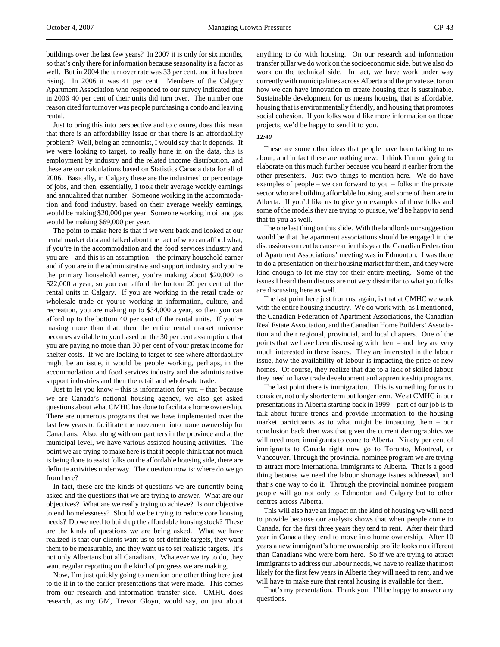buildings over the last few years? In 2007 it is only for six months, so that's only there for information because seasonality is a factor as well. But in 2004 the turnover rate was 33 per cent, and it has been rising. In 2006 it was 41 per cent. Members of the Calgary Apartment Association who responded to our survey indicated that in 2006 40 per cent of their units did turn over. The number one reason cited for turnover was people purchasing a condo and leaving rental.

Just to bring this into perspective and to closure, does this mean that there is an affordability issue or that there is an affordability problem? Well, being an economist, I would say that it depends. If we were looking to target, to really hone in on the data, this is employment by industry and the related income distribution, and these are our calculations based on Statistics Canada data for all of 2006. Basically, in Calgary these are the industries' or percentage of jobs, and then, essentially, I took their average weekly earnings and annualized that number. Someone working in the accommodation and food industry, based on their average weekly earnings, would be making \$20,000 per year. Someone working in oil and gas would be making \$69,000 per year.

The point to make here is that if we went back and looked at our rental market data and talked about the fact of who can afford what, if you're in the accommodation and the food services industry and you are – and this is an assumption – the primary household earner and if you are in the administrative and support industry and you're the primary household earner, you're making about \$20,000 to \$22,000 a year, so you can afford the bottom 20 per cent of the rental units in Calgary. If you are working in the retail trade or wholesale trade or you're working in information, culture, and recreation, you are making up to \$34,000 a year, so then you can afford up to the bottom 40 per cent of the rental units. If you're making more than that, then the entire rental market universe becomes available to you based on the 30 per cent assumption: that you are paying no more than 30 per cent of your pretax income for shelter costs. If we are looking to target to see where affordability might be an issue, it would be people working, perhaps, in the accommodation and food services industry and the administrative support industries and then the retail and wholesale trade.

Just to let you know – this is information for you – that because we are Canada's national housing agency, we also get asked questions about what CMHC has done to facilitate home ownership. There are numerous programs that we have implemented over the last few years to facilitate the movement into home ownership for Canadians. Also, along with our partners in the province and at the municipal level, we have various assisted housing activities. The point we are trying to make here is that if people think that not much is being done to assist folks on the affordable housing side, there are definite activities under way. The question now is: where do we go from here?

In fact, these are the kinds of questions we are currently being asked and the questions that we are trying to answer. What are our objectives? What are we really trying to achieve? Is our objective to end homelessness? Should we be trying to reduce core housing needs? Do we need to build up the affordable housing stock? These are the kinds of questions we are being asked. What we have realized is that our clients want us to set definite targets, they want them to be measurable, and they want us to set realistic targets. It's not only Albertans but all Canadians. Whatever we try to do, they want regular reporting on the kind of progress we are making.

Now, I'm just quickly going to mention one other thing here just to tie it in to the earlier presentations that were made. This comes from our research and information transfer side. CMHC does research, as my GM, Trevor Gloyn, would say, on just about

anything to do with housing. On our research and information transfer pillar we do work on the socioeconomic side, but we also do work on the technical side. In fact, we have work under way currently with municipalities across Alberta and the private sector on how we can have innovation to create housing that is sustainable. Sustainable development for us means housing that is affordable, housing that is environmentally friendly, and housing that promotes social cohesion. If you folks would like more information on those projects, we'd be happy to send it to you.

## *12:40*

These are some other ideas that people have been talking to us about, and in fact these are nothing new. I think I'm not going to elaborate on this much further because you heard it earlier from the other presenters. Just two things to mention here. We do have examples of people – we can forward to you – folks in the private sector who are building affordable housing, and some of them are in Alberta. If you'd like us to give you examples of those folks and some of the models they are trying to pursue, we'd be happy to send that to you as well.

The one last thing on this slide. With the landlords our suggestion would be that the apartment associations should be engaged in the discussions on rent because earlier this year the Canadian Federation of Apartment Associations' meeting was in Edmonton. I was there to do a presentation on their housing market for them, and they were kind enough to let me stay for their entire meeting. Some of the issues I heard them discuss are not very dissimilar to what you folks are discussing here as well.

The last point here just from us, again, is that at CMHC we work with the entire housing industry. We do work with, as I mentioned, the Canadian Federation of Apartment Associations, the Canadian Real Estate Association, and the Canadian Home Builders' Association and their regional, provincial, and local chapters. One of the points that we have been discussing with them – and they are very much interested in these issues. They are interested in the labour issue, how the availability of labour is impacting the price of new homes. Of course, they realize that due to a lack of skilled labour they need to have trade development and apprenticeship programs.

The last point there is immigration. This is something for us to consider, not only shorter term but longer term. We at CMHC in our presentations in Alberta starting back in 1999 – part of our job is to talk about future trends and provide information to the housing market participants as to what might be impacting them – our conclusion back then was that given the current demographics we will need more immigrants to come to Alberta. Ninety per cent of immigrants to Canada right now go to Toronto, Montreal, or Vancouver. Through the provincial nominee program we are trying to attract more international immigrants to Alberta. That is a good thing because we need the labour shortage issues addressed, and that's one way to do it. Through the provincial nominee program people will go not only to Edmonton and Calgary but to other centres across Alberta.

This will also have an impact on the kind of housing we will need to provide because our analysis shows that when people come to Canada, for the first three years they tend to rent. After their third year in Canada they tend to move into home ownership. After 10 years a new immigrant's home ownership profile looks no different than Canadians who were born here. So if we are trying to attract immigrants to address our labour needs, we have to realize that most likely for the first few years in Alberta they will need to rent, and we will have to make sure that rental housing is available for them.

That's my presentation. Thank you. I'll be happy to answer any questions.